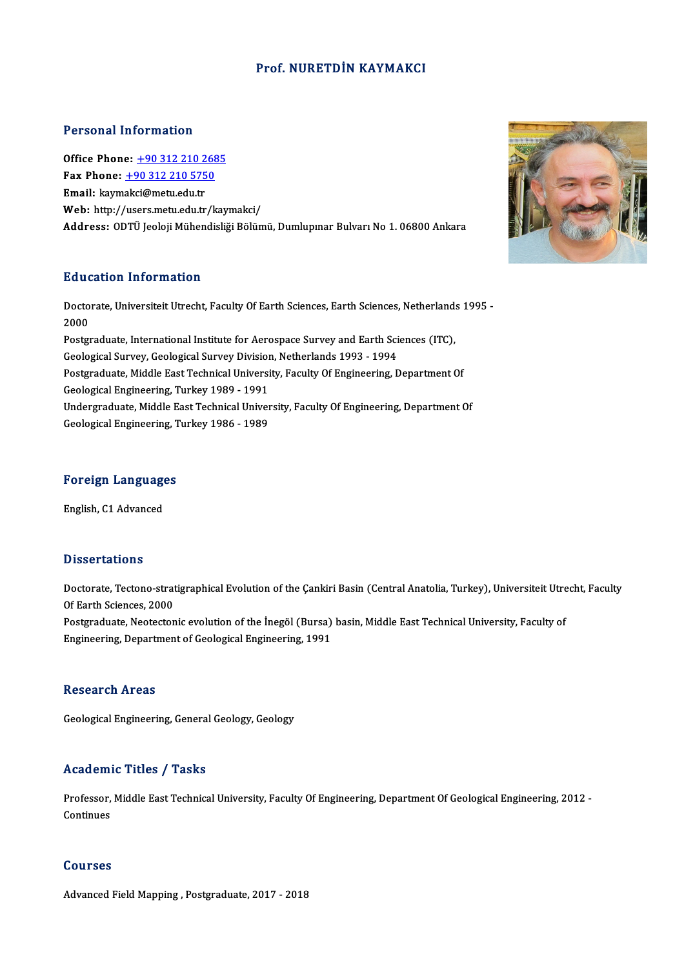#### Prof.NURETDİN KAYMAKCI

#### Personal Information

**Personal Information<br>Office Phone: +90 312 210 2685<br>Fax Phone: +90 312 210 5750** Fax Phone: <u>+90 312 210 268</u><br>Fax Phone: <u>+90 312 210 268</u><br>Fax Phone: <u>+90 312 210 5750</u> Office Phone: <u>+90 312 210 2</u><br>Fax Phone: <u>+90 312 210 575</u><br>Email: kaym[akci@metu.edu.tr](tel:+90 312 210 5750)<br>Web: http://weers.metu.edu.tr Fax Phone:  $\pm$ 90 312 210 5750<br>Email: kaymakci@metu.edu.tr<br>Web: http://users.metu.edu.tr/kaymakci/ Address: ODTÜ Jeoloji Mühendisliği Bölümü, Dumlupınar Bulvarı No 1.06800 Ankara

#### Education Information

Education Information<br>Doctorate, Universiteit Utrecht, Faculty Of Earth Sciences, Earth Sciences, Netherlands 1995 -<br>2000 Huute<br>Docto<br>2000 Doctorate, Universiteit Utrecht, Faculty Of Earth Sciences, Earth Sciences, Netherland:<br>2000<br>Postgraduate, International Institute for Aerospace Survey and Earth Sciences (ITC),<br>Coologiaal Survey, Coologiaal Survey Divisio 2000<br>Postgraduate, International Institute for Aerospace Survey and Earth Sci<br>Geological Survey, Geological Survey Division, Netherlands 1993 - 1994<br>Postgraduate, Middle Fast Technical University, Faculty Of Engineering, D

Postgraduate, International Institute for Aerospace Survey and Earth Sciences (ITC),<br>Geological Survey, Geological Survey Division, Netherlands 1993 - 1994<br>Postgraduate, Middle East Technical University, Faculty Of Enginee Geological Survey, Geological Survey Division, Netherlands 1993 - 1994<br>Postgraduate, Middle East Technical University, Faculty Of Engineering, Department Of<br>Geological Engineering, Turkey 1989 - 1991<br>Undergraduate, Middle Postgraduate, Middle East Technical University, Faculty Of Engineering, Department Of<br>Geological Engineering, Turkey 1989 - 1991<br>Undergraduate, Middle East Technical University, Faculty Of Engineering, Department Of<br>Ceolog

Geological Engineering, Turkey 1986 - 1989

# Foreign Languages <mark>Foreign Language</mark><br>English, C1 Advanced

English, C1 Advanced<br>Dissertations

Dissertations<br>Doctorate, Tectono-stratigraphical Evolution of the Çankiri Basin (Central Anatolia, Turkey), Universiteit Utrecht, Faculty<br>Of Farth Sciances, 2000 Disourcations<br>Doctorate, Tectono-strat<br>Of Earth Sciences, 2000<br>Restauraduate, Nectoster Doctorate, Tectono-stratigraphical Evolution of the Çankiri Basin (Central Anatolia, Turkey), Universiteit Utre<br>Of Earth Sciences, 2000<br>Postgraduate, Neotectonic evolution of the İnegöl (Bursa) basin, Middle East Technical Of Earth Sciences, 2000<br>Postgraduate, Neotectonic evolution of the İnegöl (Bursa)<br>Engineering, Department of Geological Engineering, 1991

Engineering, Department of Geological Engineering, 1991<br>Research Areas

Geological Engineering, General Geology, Geology

### Academic Titles / Tasks

Academic Titles / Tasks<br>Professor, Middle East Technical University, Faculty Of Engineering, Department Of Geological Engineering, 2012 -<br>Continues Professor,<br>Continues Continues<br>Courses

Advanced Field Mapping, Postgraduate, 2017 - 2018

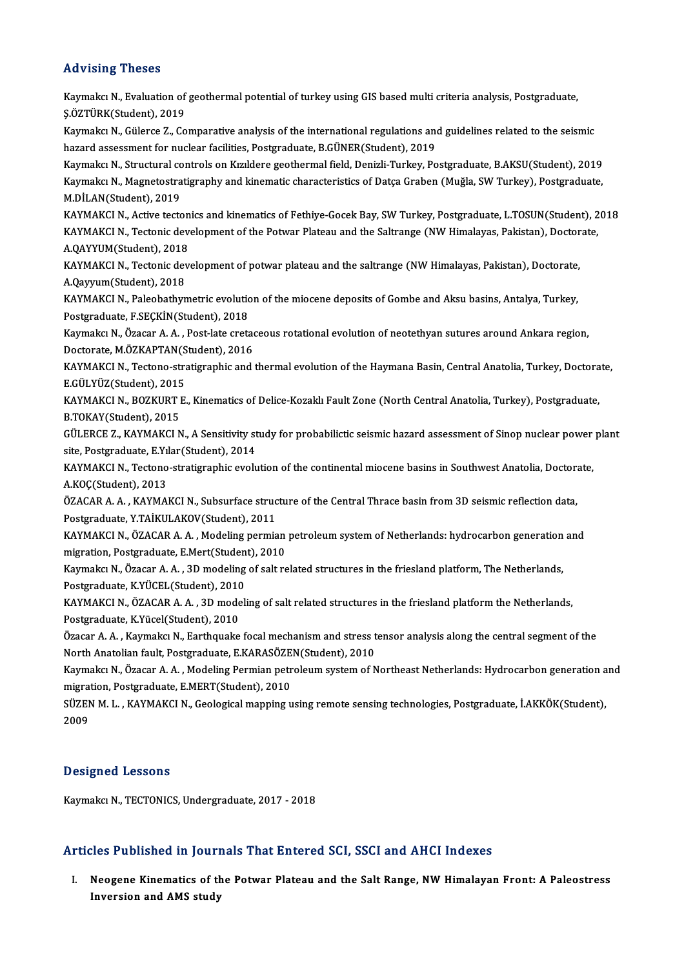#### Advising Theses

Advising Theses<br>Kaymakcı N., Evaluation of geothermal potential of turkey using GIS based multi criteria analysis, Postgraduate,<br>S.ÖZTÜRKStudent), 2019 **Kaymakcı N., Evaluation of<br>Kaymakcı N., Evaluation of<br>Kaymakcı N. Gülerce 7, Co** Kaymakcı N., Evaluation of geothermal potential of turkey using GIS based multi criteria analysis, Postgraduate,<br>Ş.ÖZTÜRK(Student), 2019<br>Kaymakcı N., Gülerce Z., Comparative analysis of the international regulations and gu Ş.ÖZTÜRK(Student), 2019<br>Kaymakcı N., Gülerce Z., Comparative analysis of the international regulations and<br>hazard assessment for nuclear facilities, Postgraduate, B.GÜNER(Student), 2019<br>Kaymaka N., Structural santrak on Kı Kaymakcı N., Gülerce Z., Comparative analysis of the international regulations and guidelines related to the seismic<br>hazard assessment for nuclear facilities, Postgraduate, B.GÜNER(Student), 2019<br>Kaymakcı N., Structural co hazard assessment for nuclear facilities, Postgraduate, B.GÜNER(Student), 2019<br>Kaymakcı N., Structural controls on Kızıldere geothermal field, Denizli-Turkey, Postgraduate, B.AKSU(Student), 2019<br>Kaymakcı N., Magnetostratig Kaymakcı N., Structural co<br>Kaymakcı N., Magnetostra<br>M.DİLAN(Student), 2019<br>KAYMAKCI N., Astive tests Kaymakcı N., Magnetostratigraphy and kinematic characteristics of Datça Graben (Muğla, SW Turkey), Postgraduate,<br>M.DİLAN(Student), 2019<br>KAYMAKCI N., Active tectonics and kinematics of Fethiye-Gocek Bay, SW Turkey, Postgrad M.DİLAN(Student), 2019<br>KAYMAKCI N., Active tectonics and kinematics of Fethiye-Gocek Bay, SW Turkey, Postgraduate, L.TOSUN(Student), 2<br>KAYMAKCI N., Tectonic development of the Potwar Plateau and the Saltrange (NW Himalayas KAYMAKCI N., Active tecton<br>KAYMAKCI N., Tectonic dev<br>A.QAYYUM(Student), 2018<br>KAYMAKCI N., Tectonic dev KAYMAKCI N., Tectonic development of the Potwar Plateau and the Saltrange (NW Himalayas, Pakistan), Doctor<br>A.QAYYUM(Student), 2018<br>KAYMAKCI N., Tectonic development of potwar plateau and the saltrange (NW Himalayas, Pakist A.QAYYUM(Student), 2018<br>KAYMAKCI N., Tectonic dev<br>A.Qayyum(Student), 2018<br>KAYMAKCI N. Bakobathyn KAYMAKCI N., Tectonic development of potwar plateau and the saltrange (NW Himalayas, Pakistan), Doctorate,<br>A.Qayyum(Student), 2018<br>KAYMAKCI N., Paleobathymetric evolution of the miocene deposits of Gombe and Aksu basins, A A.Qayyum(Student), 2018<br>KAYMAKCI N., Paleobathymetric evolution of the miocene deposits of Gombe and Aksu basins, Antalya, Turkey,<br>Postgraduate, F.SEÇKİN(Student), 2018 KAYMAKCI N., Paleobathymetric evolution of the miocene deposits of Gombe and Aksu basins, Antalya, Turkey,<br>Postgraduate, F.SEÇKİN(Student), 2018<br>Kaymakcı N., Özacar A. A. , Post-late cretaceous rotational evolution of neot Postgraduate, F.SEÇKİN(Student), 2018<br>Kaymakcı N., Özacar A. A. , Post-late creta<br>Doctorate, M.ÖZKAPTAN(Student), 2016<br>KAYMAKCLN, Testene stratisranbis and Kaymakcı N., Özacar A. A. , Post-late cretaceous rotational evolution of neotethyan sutures around Ankara region,<br>Doctorate, M.ÖZKAPTAN(Student), 2016<br>KAYMAKCI N., Tectono-stratigraphic and thermal evolution of the Haymana Doctorate, M.ÖZKAPTAN(Student), 2016<br>KAYMAKCI N., Tectono-stratigraphic and thermal evolution of the Haymana Basin, Central Anatolia, Turkey, Doctora<br>E.GÜLYÜZ(Student), 2015<br>KAYMAKCI N., BOZKURT E., Kinematics of Delice-Ko KAYMAKCI N., Tectono-stratigraphic and thermal evolution of the Haymana Basin, Central Anatolia, Turkey, Doctorate,<br>E.GÜLYÜZ(Student), 2015<br>KAYMAKCI N., BOZKURT E., Kinematics of Delice-Kozaklı Fault Zone (North Central An E.GÜLYÜZ(Student), 2015 KAYMAKCI N., BOZKURT E., Kinematics of Delice-Kozaklı Fault Zone (North Central Anatolia, Turkey), Postgraduate,<br>B.TOKAY(Student), 2015<br>GÜLERCE Z., KAYMAKCI N., A Sensitivity study for probabilictic seismic hazard assessme B.TOKAY(Student), 2015<br>GÜLERCE Z., KAYMAKCI N., A Sensitivity st<br>site, Postgraduate, E.Yılar(Student), 2014<br>KAYMAKCI N., Testane, stratisranhis evely GÜLERCE Z., KAYMAKCI N., A Sensitivity study for probabilictic seismic hazard assessment of Sinop nuclear power<br>site, Postgraduate, E.Yılar(Student), 2014<br>KAYMAKCI N., Tectono-stratigraphic evolution of the continental mio site, Postgraduate, E.Yılar(Student), 2014<br>KAYMAKCI N., Tectono-stratigraphic evolution of the continental miocene basins in Southwest Anatolia, Doctorate,<br>A.KOÇ(Student), 2013 KAYMAKCI N., Tectono-stratigraphic evolution of the continental miocene basins in Southwest Anatolia, Doctora<br>A.KOÇ(Student), 2013<br>ÖZACAR A. A. , KAYMAKCI N., Subsurface structure of the Central Thrace basin from 3D seismi A.KOÇ(Student), 2013<br>ÖZACAR A. A. , KAYMAKCI N., Subsurface struc<br>Postgraduate, Y.TAİKULAKOV(Student), 2011<br>KAYMAKCI N. ÖZACAR A. A. Modeling pormiq ÖZACAR A. A. , KAYMAKCI N., Subsurface structure of the Central Thrace basin from 3D seismic reflection data,<br>Postgraduate, Y.TAİKULAKOV(Student), 2011<br>KAYMAKCI N., ÖZACAR A. A. , Modeling permian petroleum system of Nethe Postgraduate, Y.TAİKULAKOV(Student), 2011<br>KAYMAKCI N., ÖZACAR A. A. , Modeling permian<br>migration, Postgraduate, E.Mert(Student), 2010<br>Kaymaka: N., Özacar A. A., <sup>2D</sup> modeling of salt re KAYMAKCI N., ÖZACAR A. A. , Modeling permian petroleum system of Netherlands: hydrocarbon generation<br>migration, Postgraduate, E.Mert(Student), 2010<br>Kaymakcı N., Özacar A. A. , 3D modeling of salt related structures in the migration, Postgraduate, E.Mert(Studen<br>Kaymakcı N., Özacar A. A. , 3D modeling<br>Postgraduate, K.YÜCEL(Student), 2010<br>KAYMAKCLN, ÖZACAR A. A., 3D modeli Kaymakcı N., Özacar A. A. , 3D modeling of salt related structures in the friesland platform, The Netherlands,<br>Postgraduate, K.YÜCEL(Student), 2010<br>KAYMAKCI N., ÖZACAR A. A. , 3D modeling of salt related structures in the Postgraduate, K.YÜCEL(Student), 2010<br>KAYMAKCI N., ÖZACAR A. A. , 3D mode<br>Postgraduate, K.Yücel(Student), 2010<br>Özasar A. A., Kaymakay N., Farthauska KAYMAKCI N., ÖZACAR A. A. , 3D modeling of salt related structures in the friesland platform the Netherlands,<br>Postgraduate, K.Yücel(Student), 2010<br>Özacar A. A. , Kaymakcı N., Earthquake focal mechanism and stress tensor an Postgraduate, K.Yücel(Student), 2010<br>Özacar A. A. , Kaymakcı N., Earthquake focal mechanism and stress t<br>North Anatolian fault, Postgraduate, E.KARASÖZEN(Student), 2010<br>Kaymaka: N., Özacar A. A., Medeling Permian petroleum Özacar A. A. , Kaymakcı N., Earthquake focal mechanism and stress tensor analysis along the central segment of the<br>North Anatolian fault, Postgraduate, E.KARASÖZEN(Student), 2010<br>Kaymakcı N., Özacar A. A. , Modeling Permia North Anatolian fault, Postgraduate, E.KARASÖZEN(Student), 2010<br>Kaymakcı N., Özacar A. A. , Modeling Permian petroleum system of Northeast Netherlands: Hydrocarbon generation a<br>migration, Postgraduate, E.MERT(Student), 201 Kaymakcı N., Özacar A. A. , Modeling Permian petroleum system of Northeast Netherlands: Hydrocarbon generation a<br>migration, Postgraduate, E.MERT(Student), 2010<br>SÜZEN M. L. , KAYMAKCI N., Geological mapping using remote sen migration, Postgraduate, E.MERT(Student), 2010<br>SÜZEN M. L. , KAYMAKCI N., Geological mapping ı<br>2009

#### Designed Lessons

Kaymakcı N., TECTONICS, Undergraduate, 2017 - 2018

#### Articles Published in Journals That Entered SCI, SSCI and AHCI Indexes

rticles Published in Journals That Entered SCI, SSCI and AHCI Indexes<br>I. Neogene Kinematics of the Potwar Plateau and the Salt Range, NW Himalayan Front: A Paleostress<br>Inversion and AMS study Institutional III Journal<br>Neogene Kinematics of the<br>Inversion and AMS study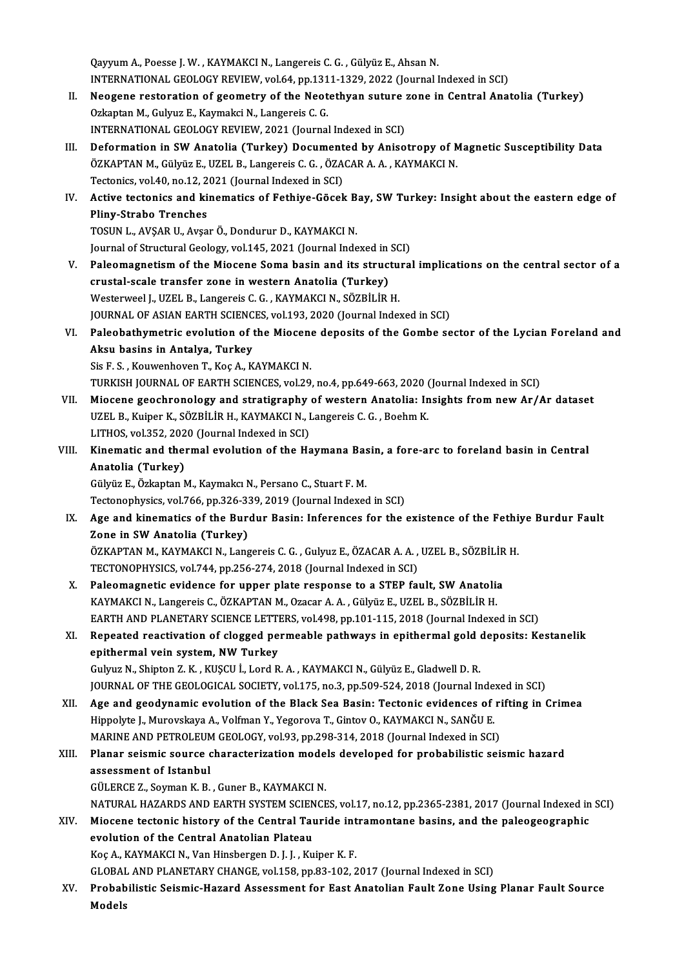Qayyum A., Poesse J. W., KAYMAKCI N., Langereis C. G., Gülyüz E., Ahsan N. Qayyum A., Poesse J. W. , KAYMAKCI N., Langereis C. G. , Gülyüz E., Ahsan N.<br>INTERNATIONAL GEOLOGY REVIEW, vol.64, pp.1311-1329, 2022 (Journal Indexed in SCI)<br>Neogene restanstion of geometry of the Neotathyen suture gone i

- II. Neogene restoration of geometry of the Neotethyan suture zone in Central Anatolia (Turkey)<br>Ozkaptan M., Gulyuz E., Kaymakci N., Langereis C. G. INTERNATIONAL GEOLOGY REVIEW, vol.64, pp.131<br>Neogene restoration of geometry of the Neot<br>Ozkaptan M., Gulyuz E., Kaymakci N., Langereis C. G.<br>INTERNATIONAL CEOLOGY REVIEW, 2021 (Journal INTERNATIONAL GEOLOGY REVIEW, 2021 (Journal Indexed in SCI)
- III. Deformation in SW Anatolia (Turkey) Documented by Anisotropy of Magnetic Susceptibility Data INTERNATIONAL GEOLOGY REVIEW, 2021 (Journal Indexed in SCI)<br>Deformation in SW Anatolia (Turkey) Documented by Anisotropy of M<br>ÖZKAPTAN M., Gülyüz E., UZEL B., Langereis C. G. , ÖZACAR A. A. , KAYMAKCI N.<br>Testoniss vol.40, Deformation in SW Anatolia (Turkey) Document<br>ÖZKAPTAN M., Gülyüz E., UZEL B., Langereis C. G. , ÖZA<br>Tectonics, vol.40, no.12, 2021 (Journal Indexed in SCI)<br>Active tectonics and kinematics of Esthive Gösel ÖZKAPTAN M., Gülyüz E., UZEL B., Langereis C. G. , ÖZACAR A. A. , KAYMAKCI N.<br>Tectonics, vol.40, no.12, 2021 (Journal Indexed in SCI)<br>IV. Active tectonics and kinematics of Fethiye-Göcek Bay, SW Turkey: Insight about the e
- Tectonics, vol.40, no.12, 2<br>Active tectonics and ki<br>Pliny-Strabo Trenches<br>TOSUN LAVSAR ULAVS Active tectonics and kinematics of Fethiye-Göcek B<br>Pliny-Strabo Trenches<br>TOSUN L., AVŞAR U., Avşar Ö., Dondurur D., KAYMAKCI N.<br>Journal of Structural Coology vol 145–2021 (Journal Indo Pliny-Strabo Trenches<br>TOSUN L., AVŞAR U., Avşar Ö., Dondurur D., KAYMAKCI N.<br>Journal of Structural Geology, vol.145, 2021 (Journal Indexed in SCI)

- V. Paleomagnetism of the Miocene Soma basin and its structural implications on the central sector of a crustal-scale transfer zone in western Anatolia (Turkey) Westerweel J., UZEL B., Langereis C. G., KAYMAKCI N., SÖZBİLİR H. JOURNAL OF ASIAN EARTH SCIENCES, vol.193, 2020 (Journal Indexed in SCI) Westerweel J., UZEL B., Langereis C. G. , KAYMAKCI N., SÖZBİLİR H.<br>JOURNAL OF ASIAN EARTH SCIENCES, vol.193, 2020 (Journal Indexed in SCI)<br>VI. Paleobathymetric evolution of the Miocene deposits of the Gombe sector of the L
- JOURNAL OF ASIAN EARTH SCIENC<br>Paleobathymetric evolution of t<br>Aksu basins in Antalya, Turkey<br>Sia E.S., Kouwenboven T. Koa A. K Paleobathymetric evolution of the Miocen<br>Aksu basins in Antalya, Turkey<br>Sis F. S., Kouwenhoven T., Koç A., KAYMAKCI N.<br>TURKISH JOURNAL OF FARTH SCIENCES, vol 30. Aksu basins in Antalya, Turkey<br>Sis F. S. , Kouwenhoven T., Koç A., KAYMAKCI N.<br>TURKISH JOURNAL OF EARTH SCIENCES, vol.29, no.4, pp.649-663, 2020 (Journal Indexed in SCI)<br>Miasana geoshranalagu and stratigraphy of western An

- Sis F. S., Kouwenhoven T., Koç A., KAYMAKCI N.<br>TURKISH JOURNAL OF EARTH SCIENCES, vol.29, no.4, pp.649-663, 2020 (Journal Indexed in SCI)<br>VII. Miocene geochronology and stratigraphy of western Anatolia: Insights from new A TURKISH JOURNAL OF EARTH SCIENCES, vol.29, no.4, pp.649-663, 2020 (Miocene geochronology and stratigraphy of western Anatolia: In UZEL B., Kuiper K., SÖZBİLİR H., KAYMAKCI N., Langereis C. G. , Boehm K.<br>UZEL B., Kuiper K., Miocene geochronology and stratigraphy<br>UZEL B., Kuiper K., SÖZBİLİR H., KAYMAKCI N., I<br>LITHOS, vol.352, 2020 (Journal Indexed in SCI)<br>Kinamatis and tharmal avalution of the Ha UZEL B., Kuiper K., SÖZBİLİR H., KAYMAKCI N., Langereis C. G. , Boehm K.<br>LITHOS, vol.352, 2020 (Journal Indexed in SCI)<br>VIII. Kinematic and thermal evolution of the Haymana Basin, a fore-arc to foreland basin in Centra
- LITHOS, vol.352, 202<br>Kinematic and the<br>Anatolia (Turkey)<br>Cülvüz E. Özkantan M Kinematic and thermal evolution of the Haymana Bas<br>Anatolia (Turkey)<br>Gülyüz E., Özkaptan M., Kaymakcı N., Persano C., Stuart F. M.<br>Testapophysiss. vol.766, np.326,329, 2019 (Journal Indoves

Anatolia (Turkey)<br>Gülyüz E., Özkaptan M., Kaymakcı N., Persano C., Stuart F. M.<br>Tectonophysics, vol.766, pp.326-339, 2019 (Journal Indexed in SCI)

IX. Age and kinematics of the Burdur Basin: Inferences for the existence of the Fethiye Burdur Fault Zone in SW Anatolia (Turkey) Age and kinematics of the Burdur Basin: Inferences for the existence of the Fethi<br>Zone in SW Anatolia (Turkey)<br>ÖZKAPTAN M., KAYMAKCI N., Langereis C. G. , Gulyuz E., ÖZACAR A. A. , UZEL B., SÖZBİLİR H.<br>TECTONOPHYSICS. vel Zone in SW Anatolia (Turkey)<br>ÖZKAPTAN M., KAYMAKCI N., Langereis C. G. , Gulyuz E., ÖZACAR A. A. ,<br>TECTONOPHYSICS, vol.744, pp.256-274, 2018 (Journal Indexed in SCI)<br>Peleomegnetia evidence for unner plate response to a STE

- ÖZKAPTAN M., KAYMAKCI N., Langereis C. G., Gulyuz E., ÖZACAR A. A., UZEL B., SÖZBİLİR<br>TECTONOPHYSICS, vol.744, pp.256-274, 2018 (Journal Indexed in SCI)<br>X. Paleomagnetic evidence for upper plate response to a STEP fault, S TECTONOPHYSICS, vol.744, pp.256-274, 2018 (Journal Indexed in SCI)<br>Paleomagnetic evidence for upper plate response to a STEP fault, SW Anatolia<br>KAYMAKCI N., Langereis C., ÖZKAPTAN M., Ozacar A. A. , Gülyüz E., UZEL B., SÖZ Paleomagnetic evidence for upper plate response to a STEP fault, SW Anatolia<br>KAYMAKCI N., Langereis C., ÖZKAPTAN M., Ozacar A. A. , Gülyüz E., UZEL B., SÖZBİLİR H.<br>EARTH AND PLANETARY SCIENCE LETTERS, vol.498, pp.101-115, KAYMAKCI N., Langereis C., ÖZKAPTAN M., Ozacar A. A. , Gülyüz E., UZEL B., SÖZBİLİR H.<br>EARTH AND PLANETARY SCIENCE LETTERS, vol.498, pp.101-115, 2018 (Journal Indexed in SCI)<br>XI. Repeated reactivation of clogged permeable
- EARTH AND PLANETARY SCIENCE LETT<br>Repeated reactivation of clogged pe<br>epithermal vein system, NW Turkey Repeated reactivation of clogged permeable pathways in epithermal gold (<br>epithermal vein system, NW Turkey<br>Gulyuz N., Shipton Z. K. , KUŞCU İ., Lord R. A. , KAYMAKCI N., Gülyüz E., Gladwell D. R.<br>JOUPNAL OF THE CEOLOCICAL epithermal vein system, NW Turkey<br>Gulyuz N., Shipton Z. K. , KUŞCU İ., Lord R. A. , KAYMAKCI N., Gülyüz E., Gladwell D. R.<br>JOURNAL OF THE GEOLOGICAL SOCIETY, vol.175, no.3, pp.509-524, 2018 (Journal Indexed in SCI)<br>Age and

- Gulyuz N., Shipton Z. K. , KUŞCU İ., Lord R. A. , KAYMAKCI N., Gülyüz E., Gladwell D. R.<br>JOURNAL OF THE GEOLOGICAL SOCIETY, vol.175, no.3, pp.509-524, 2018 (Journal Indexed in SCI)<br>XII. Age and geodynamic evolution of the JOURNAL OF THE GEOLOGICAL SOCIETY, vol.175, no.3, pp.509-524, 2018 (Journal Index<br>Age and geodynamic evolution of the Black Sea Basin: Tectonic evidences of<br>Hippolyte J., Murovskaya A., Volfman Y., Yegorova T., Gintov O.,
- Age and geodynamic evolution of the Black Sea Basin: Tectonic evidences of ri<br>Hippolyte J., Murovskaya A., Volfman Y., Yegorova T., Gintov O., KAYMAKCI N., SANĞU E.<br>MARINE AND PETROLEUM GEOLOGY, vol.93, pp.298-314, 2018 (J Hippolyte J., Murovskaya A., Volfman Y., Yegorova T., Gintov O., KAYMAKCI N., SANĞU E.<br>MARINE AND PETROLEUM GEOLOGY, vol.93, pp.298-314, 2018 (Journal Indexed in SCI)<br>XIII. Planar seismic source characterization models dev

# MARINE AND PETROLEUM<br>Planar seismic source<br>assessment of Istanbul<br>CÜLEPCE 7, Souman K, B Planar seismic source characterization mode<br>assessment of Istanbul<br>GÜLERCE Z., Soyman K. B. , Guner B., KAYMAKCI N.<br>MATURAL HAZARDS AND FARTH SYSTEM SCIENCE assessment of Istanbul<br>GÜLERCE Z., Soyman K. B. , Guner B., KAYMAKCI N.<br>NATURAL HAZARDS AND EARTH SYSTEM SCIENCES, vol.17, no.12, pp.2365-2381, 2017 (Journal Indexed in SCI)<br>Miogene testenis bistory of the Central Teuride

GÜLERCE Z., Soyman K. B. , Guner B., KAYMAKCI N.<br>NATURAL HAZARDS AND EARTH SYSTEM SCIENCES, vol.17, no.12, pp.2365-2381, 2017 (Journal Indexed in<br>XIV. Miocene tectonic history of the Central Tauride intramontane basins, an NATURAL HAZARDS AND EARTH SYSTEM SCIEN<br>Miocene tectonic history of the Central Tau<br>evolution of the Central Anatolian Plateau<br>Kes A. KAYMAKCLN, Van Hinsbersen D.J.J., Ku Miocene tectonic history of the Central Tauride int<br>evolution of the Central Anatolian Plateau<br>Koç A., KAYMAKCI N., Van Hinsbergen D. J. J. , Kuiper K. F.<br>CLOBAL AND BLANETARY CHANCE vol 159 nn 93 103 3 evolution of the Central Anatolian Plateau<br>Koç A., KAYMAKCI N., Van Hinsbergen D. J. J. , Kuiper K. F.<br>GLOBAL AND PLANETARY CHANGE, vol.158, pp.83-102, 2017 (Journal Indexed in SCI)

Koç A., KAYMAKCI N., Van Hinsbergen D. J. J. , Kuiper K. F.<br>GLOBAL AND PLANETARY CHANGE, vol.158, pp.83-102, 2017 (Journal Indexed in SCI)<br>XV. Probabilistic Seismic-Hazard Assessment for East Anatolian Fault Zone Using GLOBAI<br><mark>Probab</mark><br>Models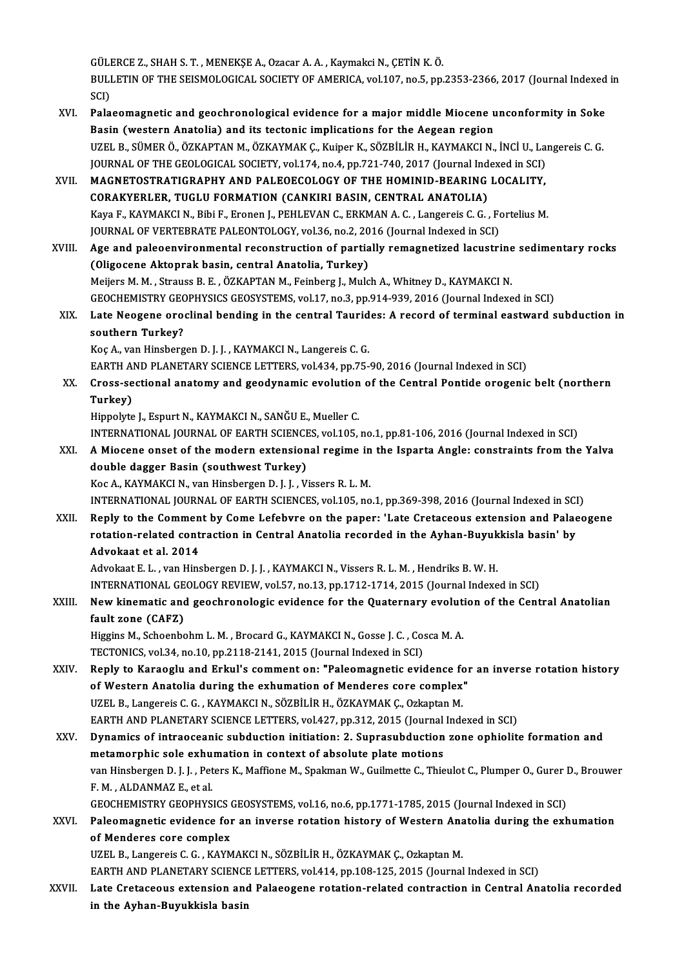GÜLERCE Z., SHAH S. T. , MENEKŞE A., Ozacar A. A. , Kaymakci N., ÇETİN K. Ö.<br>PULLETIN OF THE SEISMOLOGICAL SOGIETY OF AMERICA .val.147, ng 5, nn GÜLERCE Z., SHAH S. T. , MENEKŞE A., Ozacar A. A. , Kaymakci N., ÇETİN K. Ö.<br>BULLETIN OF THE SEISMOLOGICAL SOCIETY OF AMERICA, vol.107, no.5, pp.2353-2366, 2017 (Journal Indexed in GÜLI<br>BULI<br>SCI)<br>Pala BULLETIN OF THE SEISMOLOGICAL SOCIETY OF AMERICA, vol.107, no.5, pp.2353-2366, 2017 (Journal Indexed<br>SCI)<br>XVI. Palaeomagnetic and geochronological evidence for a major middle Miocene unconformity in Soke<br>Pasin (western Ana

SCI)<br>XVI. Palaeomagnetic and geochronological evidence for a major middle Miocene unconformity in Soke<br>Basin (western Anatolia) and its tectonic implications for the Aegean region Palaeomagnetic and geochronological evidence for a major middle Miocene unconformity in Soke<br>Basin (western Anatolia) and its tectonic implications for the Aegean region<br>UZEL B., SÜMER Ö., ÖZKAPTAN M., ÖZKAYMAK Ç., Kuiper Basin (western Anatolia) and its tectonic implications for the Aegean region<br>UZEL B., SÜMER Ö., ÖZKAPTAN M., ÖZKAYMAK Ç., Kuiper K., SÖZBİLİR H., KAYMAKCI N., İNCİ U., La:<br>JOURNAL OF THE GEOLOGICAL SOCIETY, vol.174, no.4, UZEL B., SÜMER Ö., ÖZKAPTAN M., ÖZKAYMAK Ç., Kuiper K., SÖZBİLİR H., KAYMAKCI N., İNCİ U., La<br>JOURNAL OF THE GEOLOGICAL SOCIETY, vol.174, no.4, pp.721-740, 2017 (Journal Indexed in SCI)<br>XVII. MAGNETOSTRATIGRAPHY AND PALEOE

JOURNAL OF THE GEOLOGICAL SOCIETY, vol.174, no.4, pp.721-740, 2017 (Journal Indexed in SCI)<br>MAGNETOSTRATIGRAPHY AND PALEOECOLOGY OF THE HOMINID-BEARING LOCALITY,<br>CORAKYERLER, TUGLU FORMATION (CANKIRI BASIN, CENTRAL ANATOLI MAGNETOSTRATIGRAPHY AND PALEOECOLOGY OF THE HOMINID-BEARING LOCALITY,<br>CORAKYERLER, TUGLU FORMATION (CANKIRI BASIN, CENTRAL ANATOLIA)<br>Kaya F., KAYMAKCI N., Bibi F., Eronen J., PEHLEVAN C., ERKMAN A. C. , Langereis C. G. , F CORAKYERLER, TUGLU FORMATION (CANKIRI BASIN, CENTRAL ANATOLIA)<br>Kaya F., KAYMAKCI N., Bibi F., Eronen J., PEHLEVAN C., ERKMAN A. C. , Langereis C. G. , F<br>JOURNAL OF VERTEBRATE PALEONTOLOGY, vol.36, no.2, 2016 (Journal Index JOURNAL OF VERTEBRATE PALEONTOLOGY, vol.36, no.2, 2016 (Journal Indexed in SCI)

- XVIII. Age and paleoenvironmental reconstruction of partially remagnetized lacustrine sedimentary rocks<br>(Oligocene Aktoprak basin, central Anatolia, Turkey) Meijers M. M., Strauss B. E., ÖZKAPTAN M., Feinberg J., Mulch A., Whitney D., KAYMAKCI N. (Oligocene Aktoprak basin, central Anatolia, Turkey)<br>Meijers M. M. , Strauss B. E. , ÖZKAPTAN M., Feinberg J., Mulch A., Whitney D., KAYMAKCI N.<br>GEOCHEMISTRY GEOPHYSICS GEOSYSTEMS, vol.17, no.3, pp.914-939, 2016 (Journal I
	- XIX. Late Neogene oroclinal bending in the central Taurides: A record of terminal eastward subduction in **GEOCHEMISTRY GEO**<br>Late Neogene oro<br>southern Turkey?<br><sup>Voc A</sup> var Hinsberg southern Turkey?<br>Koç A., van Hinsbergen D. J. J. , KAYMAKCI N., Langereis C. G.<br>EARTH AND PLANETARY SCIENCE LETTERS, vol.434, pp.75-90, 2016 (Journal Indexed in SCI)<br>Snees, sestional anatomy and geodynamic evolution of the

Koç A., van Hinsbergen D. J. J. , KAYMAKCI N., Langereis C. G.

Koç A., van Hinsbergen D. J. J. , KAYMAKCI N., Langereis C. G.<br>EARTH AND PLANETARY SCIENCE LETTERS, vol.434, pp.75-90, 2016 (Journal Indexed in SCI)<br>XX. Cross-sectional anatomy and geodynamic evolution of the Central P EARTH A<br>Cross-se<br>Turkey)<br>Hinnelyte Cross-sectional anatomy and geodynamic evolution<br>Turkey)<br>Hippolyte J., Espurt N., KAYMAKCI N., SANĞU E., Mueller C.<br>INTERNATIONAL JOURNAL OF FARTH SCIENCES xol 105 Turkey)<br>Hippolyte J., Espurt N., KAYMAKCI N., SANĞU E., Mueller C.<br>INTERNATIONAL JOURNAL OF EARTH SCIENCES, vol.105, no.1, pp.81-106, 2016 (Journal Indexed in SCI)<br>A Miesene enset of the modern extensional resime in the Is

Hippolyte J., Espurt N., KAYMAKCI N., SANĞU E., Mueller C.<br>INTERNATIONAL JOURNAL OF EARTH SCIENCES, vol.105, no.1, pp.81-106, 2016 (Journal Indexed in SCI)<br>XXI. A Miocene onset of the modern extensional regime in the I INTERNATIONAL JOURNAL OF EARTH SCIENCE<br>A Miocene onset of the modern extension<br>double dagger Basin (southwest Turkey)<br>Kos A KAYMAKCLN, van Hinsbergen D, LJ, V. A Miocene onset of the modern extensional regime in<br>double dagger Basin (southwest Turkey)<br>Koc A., KAYMAKCI N., van Hinsbergen D. J. J. , Vissers R. L. M.<br>INTERNATIONAL JOURNAL OF FARTH SCIENCES vol.105, no double dagger Basin (southwest Turkey)<br>Koc A., KAYMAKCI N., van Hinsbergen D. J. J. , Vissers R. L. M.<br>INTERNATIONAL JOURNAL OF EARTH SCIENCES, vol.105, no.1, pp.369-398, 2016 (Journal Indexed in SCI)

Koc A., KAYMAKCI N., van Hinsbergen D. J. J. , Vissers R. L. M.<br>INTERNATIONAL JOURNAL OF EARTH SCIENCES, vol.105, no.1, pp.369-398, 2016 (Journal Indexed in SCI)<br>XXII. Reply to the Comment by Come Lefebvre on the paper: 'L INTERNATIONAL JOURNAL OF EARTH SCIENCES, vol.105, no.1, pp.369-398, 2016 (Journal Indexed in SCI<br>Reply to the Comment by Come Lefebvre on the paper: 'Late Cretaceous extension and Palae<br>rotation-related contraction in Cent Reply to the Commen<br>rotation-related cont<br>Advokaat et al. 2014 rotation-related contraction in Central Anatolia recorded in the Ayhan-Buyuk<br>Advokaat et al. 2014<br>Advokaat E. L. , van Hinsbergen D. J. J. , KAYMAKCI N., Vissers R. L. M. , Hendriks B. W. H.<br>INTERNATIONAL CEOLOCY REVIEW, v Advokaat et al. 2014<br>Advokaat E. L. , van Hinsbergen D. J. J. , KAYMAKCI N., Vissers R. L. M. , Hendriks B. W. H.<br>INTERNATIONAL GEOLOGY REVIEW, vol.57, no.13, pp.1712-1714, 2015 (Journal Indexed in SCI)<br>Now kinomatia and g

Advokaat E. L. , van Hinsbergen D. J. J. , KAYMAKCI N., Vissers R. L. M. , Hendriks B. W. H.<br>INTERNATIONAL GEOLOGY REVIEW, vol.57, no.13, pp.1712-1714, 2015 (Journal Indexed in SCI)<br>XXIII. New kinematic and geochronologic INTERNATIONAL GE<br>New kinematic and<br>fault zone (CAFZ)<br>Hissing M. Schoonho New kinematic and geochronologic evidence for the Quaternary evolut:<br>fault zone (CAFZ)<br>Higgins M., Schoenbohm L. M. , Brocard G., KAYMAKCI N., Gosse J. C. , Cosca M. A.<br>TECTONICS vol 34, no 10, np 3119, 3141, 3015 (Journal

fault zone (CAFZ)<br>Higgins M., Schoenbohm L. M. , Brocard G., KAYMAKCI N., Gosse J. C. , Cosca M. A.<br>TECTONICS, vol.34, no.10, pp.2118-2141, 2015 (Journal Indexed in SCI)

XXIV. Reply to Karaoglu and Erkul's comment on: "Paleomagnetic evidence for an inverse rotation history of Western Anatolia during the exhumation of Menderes core complex" Reply to Karaoglu and Erkul's comment on: "Paleomagnetic evidence fo<br>of Western Anatolia during the exhumation of Menderes core complex<br>UZEL B., Langereis C. G. , KAYMAKCI N., SÖZBİLİR H., ÖZKAYMAK Ç., Ozkaptan M.<br>FARTH AN of Western Anatolia during the exhumation of Menderes core complex"<br>UZEL B., Langereis C. G. , KAYMAKCI N., SÖZBİLİR H., ÖZKAYMAK Ç., Ozkaptan M.<br>EARTH AND PLANETARY SCIENCE LETTERS, vol.427, pp.312, 2015 (Journal Indexed UZEL B., Langereis C. G. , KAYMAKCI N., SÖZBİLİR H., ÖZKAYMAK Ç., Ozkaptan M.<br>EARTH AND PLANETARY SCIENCE LETTERS, vol.427, pp.312, 2015 (Journal Indexed in SCI)<br>XXV. Dynamics of intraoceanic subduction initiation: 2. Supr

EARTH AND PLANETARY SCIENCE LETTERS, vol.427, pp.312, 2015 (Journal<br>Dynamics of intraoceanic subduction initiation: 2. Suprasubduction<br>metamorphic sole exhumation in context of absolute plate motions<br>wan Hinsbergen D. J., Dynamics of intraoceanic subduction initiation: 2. Suprasubduction zone ophiolite formation and<br>metamorphic sole exhumation in context of absolute plate motions<br>van Hinsbergen D. J. J. , Peters K., Maffione M., Spakman W., metamorphic sole exhumation in context of absolute plate motions<br>van Hinsbergen D. J. J. , Peters K., Maffione M., Spakman W., Guilmette C., Thie<br>F. M. , ALDANMAZ E., et al. van Hinsbergen D. J. J. , Peters K., Maffione M., Spakman W., Guilmette C., Thieulot C., Plumper O., Gurer D., Brouwer F. M. , ALDANMAZ E., et al.<br>GEOCHEMISTRY GEOPHYSICS GEOSYSTEMS, vol.16, no.6, pp.1771-1785, 2015 (Journal Indexed in SCI)<br>XXVI. Paleomagnetic evidence for an inverse rotation history of Western Anatolia during the exhumati

# GEOCHEMISTRY GEOPHYSICS GEOSYSTEMS, vol.16, no.6, pp.1771-1785, 2015 (Journal Indexed in SCI)<br>Paleomagnetic evidence for an inverse rotation history of Western Anatolia during the exl<br>of Menderes core complex<br>UZEL B., Lang Paleomagnetic evidence for an inverse rotation history of Western Ana<br>of Menderes core complex<br>UZEL B., Langereis C. G. , KAYMAKCI N., SÖZBİLİR H., ÖZKAYMAK Ç., Ozkaptan M.<br>FARTH AND BLANETARY SCIENCE LETTERS, vol.414, pp.

EARTH AND PLANETARY SCIENCE LETTERS, vol.414, pp.108-125, 2015 (Journal Indexed in SCI)

UZEL B., Langereis C. G. , KAYMAKCI N., SÖZBİLİR H., ÖZKAYMAK Ç., Ozkaptan M.<br>EARTH AND PLANETARY SCIENCE LETTERS, vol.414, pp.108-125, 2015 (Journal Indexed in SCI)<br>XXVII. Late Cretaceous extension and Palaeogene rota EARTH AND PLANETARY SCIENCI<br>Late Cretaceous extension and<br>in the Ayhan-Buyukkisla basin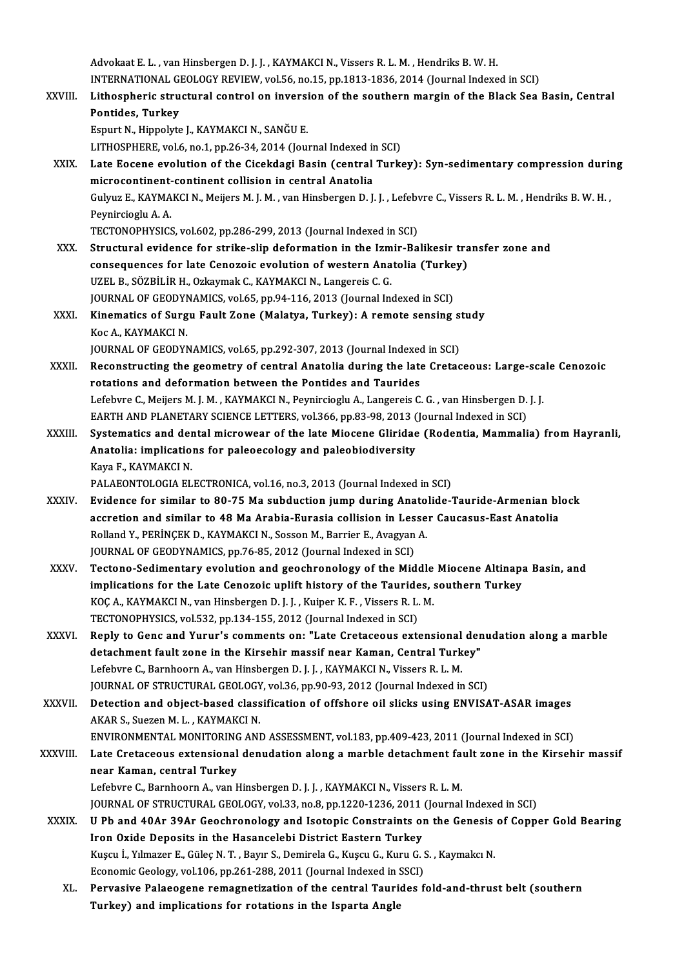Advokaat E. L., van Hinsbergen D. J. J., KAYMAKCI N., Vissers R. L. M., Hendriks B. W. H. Advokaat E. L. , van Hinsbergen D. J. J. , KAYMAKCI N., Vissers R. L. M. , Hendriks B. W. H.<br>INTERNATIONAL GEOLOGY REVIEW, vol.56, no.15, pp.1813-1836, 2014 (Journal Indexed in SCI)<br>I ithoephonis structural control on inve Advokaat E. L. , van Hinsbergen D. J. J. , KAYMAKCI N., Vissers R. L. M. , Hendriks B. W. H.<br>INTERNATIONAL GEOLOGY REVIEW, vol.56, no.15, pp.1813-1836, 2014 (Journal Indexed in SCI)<br>XXVIII. Lithospheric structural control INTERNATIONAL G<br>Lithospheric stru<br>Pontides, Turkey<br>Fenurt N. Hinnelyte Lithospheric structural control on inversion of the southern margin of the Black Sea Basin, Central<br>Pontides, Turkey<br>Espurt N., Hippolyte J., KAYMAKCI N., SANĞU E. LITHOSPHERE, vol.6, no.1, pp.26-34, 2014 (Journal Indexed in SCI) Espurt N., Hippolyte J., KAYMAKCI N., SANĞU E.<br>LITHOSPHERE, vol.6, no.1, pp.26-34, 2014 (Journal Indexed in SCI)<br>XXIX. Late Eocene evolution of the Cicekdagi Basin (central Turkey): Syn-sedimentary compression during<br>micro LITHOSPHERE, vol.6, no.1, pp.26-34, 2014 (Journal Indexed in<br>Late Eocene evolution of the Cicekdagi Basin (central<br>microcontinent-continent collision in central Anatolia<br>Cultug E. KAYMAKCLN, Mejiere M.J.M., von Hinchersen Late Eocene evolution of the Cicekdagi Basin (central Turkey): Syn-sedimentary compression durin<br>microcontinent-continent collision in central Anatolia<br>Gulyuz E., KAYMAKCI N., Meijers M. J. M. , van Hinsbergen D. J. J. , L mi<mark>crocontinent-</mark><br>Gulyuz E., KAYMA<br>Peynircioglu A. A.<br>TECTONOPHYSICS Gulyuz E., KAYMAKCI N., Meijers M. J. M. , van Hinsbergen D. J. J. , Lefebv<br>Peynircioglu A. A.<br>TECTONOPHYSICS, vol.602, pp.286-299, 2013 (Journal Indexed in SCI)<br>Strugtural ovidence for strike slip deformation in the Ismir Peynircioglu A. A.<br>TECTONOPHYSICS, vol.602, pp.286-299, 2013 (Journal Indexed in SCI)<br>XXX. Structural evidence for strike-slip deformation in the Izmir-Balikesir transfer zone and TECTONOPHYSICS, vol.602, pp.286-299, 2013 (Journal Indexed in SCI)<br>Structural evidence for strike-slip deformation in the Izmir-Balikesir tra<br>consequences for late Cenozoic evolution of western Anatolia (Turkey)<br>UZEL P. SÖ UZEL B., SÖZBİLİR H., Ozkaymak C., KAYMAKCI N., Langereis C. G. consequences for late Cenozoic evolution of western Anatolia (Turke<br>UZEL B., SÖZBİLİR H., Ozkaymak C., KAYMAKCI N., Langereis C. G.<br>JOURNAL OF GEODYNAMICS, vol.65, pp.94-116, 2013 (Journal Indexed in SCI)<br>Kinamatias of Sur UZEL B., SÖZBİLİR H., Ozkaymak C., KAYMAKCI N., Langereis C. G.<br>JOURNAL OF GEODYNAMICS, vol.65, pp.94-116, 2013 (Journal Indexed in SCI)<br>XXXI. Kinematics of Surgu Fault Zone (Malatya, Turkey): A remote sensing study<br>Kes A. JOURNAL OF GEODYNAMICS, vol.65, pp.94-116, 2013 (Journal Indexed in SCI)<br>Kinematics of Surgu Fault Zone (Malatya, Turkey): A remote sensing s<br>Koc A., KAYMAKCI N.<br>JOURNAL OF GEODYNAMICS, vol.65, pp.292-307, 2013 (Journal In Kinematics of Surgu Fault Zone (Malatya, Turkey): A remote sensing s<br>Koc A., KAYMAKCI N.<br>JOURNAL OF GEODYNAMICS, vol.65, pp.292-307, 2013 (Journal Indexed in SCI)<br>Reconstructing the geometry of control Anatolia during the Koc A., KAYMAKCI N.<br>JOURNAL OF GEODYNAMICS, vol.65, pp.292-307, 2013 (Journal Indexed in SCI)<br>XXXII. Reconstructing the geometry of central Anatolia during the late Cretaceous: Large-scale Cenozoic JOURNAL OF GEODYNAMICS, vol.65, pp.292-307, 2013 (Journal Indexed<br>Reconstructing the geometry of central Anatolia during the late<br>rotations and deformation between the Pontides and Taurides<br>Lefebure G. Mejjere M.L.M., KAYM Reconstructing the geometry of central Anatolia during the late Cretaceous: Large-sca<br>rotations and deformation between the Pontides and Taurides<br>Lefebvre C., Meijers M. J. M. , KAYMAKCI N., Peynircioglu A., Langereis C. G rotations and deformation between the Pontides and Taurides<br>Lefebvre C., Meijers M. J. M. , KAYMAKCI N., Peynircioglu A., Langereis C. G. , van Hinsbergen D. J. J.<br>EARTH AND PLANETARY SCIENCE LETTERS, vol.366, pp.83-98, 20 Lefebvre C., Meijers M. J. M. , KAYMAKCI N., Peynircioglu A., Langereis C. G. , van Hinsbergen D. J. J.<br>EARTH AND PLANETARY SCIENCE LETTERS, vol.366, pp.83-98, 2013 (Journal Indexed in SCI)<br>XXXIII. Systematics and dental m EARTH AND PLANETARY SCIENCE LETTERS, vol.366, pp.83-98, 2013 (<br>Systematics and dental microwear of the late Miocene Gliridae<br>Anatolia: implications for paleoecology and paleobiodiversity<br>Yava E. KAYMAKCLN Systematics and der<br>Anatolia: implicatio:<br>Kaya F., KAYMAKCI N.<br>PALAEONTOLOCIA EL Anatolia: implications for paleoecology and paleobiodiversity<br>Kaya F., KAYMAKCI N.<br>PALAEONTOLOGIA ELECTRONICA, vol.16, no.3, 2013 (Journal Indexed in SCI) Kaya F., KAYMAKCI N.<br>PALAEONTOLOGIA ELECTRONICA, vol.16, no.3, 2013 (Journal Indexed in SCI)<br>XXXIV. Evidence for similar to 80-75 Ma subduction jump during Anatolide-Tauride-Armenian block PALAEONTOLOGIA ELECTRONICA, vol.16, no.3, 2013 (Journal Indexed in SCI)<br>Evidence for similar to 80-75 Ma subduction jump during Anatolide-Tauride-Armenian bl<br>accretion and similar to 48 Ma Arabia-Eurasia collision in Lesse Evidence for similar to 80-75 Ma subduction jump during Anato<br>accretion and similar to 48 Ma Arabia-Eurasia collision in Lesse<br>Rolland Y., PERİNÇEK D., KAYMAKCI N., Sosson M., Barrier E., Avagyan A.<br>JOUPMAL OE CEODYMAMICS accretion and similar to 48 Ma Arabia-Eurasia collision in Les<br>Rolland Y., PERİNÇEK D., KAYMAKCI N., Sosson M., Barrier E., Avagyan<br>JOURNAL OF GEODYNAMICS, pp.76-85, 2012 (Journal Indexed in SCI)<br>Testana Sadimantany avalut JOURNAL OF GEODYNAMICS, pp.76-85, 2012 (Journal Indexed in SCI)<br>XXXV. Tectono-Sedimentary evolution and geochronology of the Middle Miocene Altinapa Basin, and JOURNAL OF GEODYNAMICS, pp.76-85, 2012 (Journal Indexed in SCI)<br>Tectono-Sedimentary evolution and geochronology of the Middle Miocene Altinapa<br>implications for the Late Cenozoic uplift history of the Taurides, southern Tur Tectono-Sedimentary evolution and geochronology of the Middle<br>implications for the Late Cenozoic uplift history of the Taurides, :<br>KOÇ A., KAYMAKCI N., van Hinsbergen D. J. J. , Kuiper K. F. , Vissers R. L. M.<br>TECTONOPHYSI implications for the Late Cenozoic uplift history of the Tauride<br>KOÇ A., KAYMAKCI N., van Hinsbergen D. J. J. , Kuiper K. F. , Vissers R. L.<br>TECTONOPHYSICS, vol.532, pp.134-155, 2012 (Journal Indexed in SCI)<br>Bonly to Cons KOÇ A., KAYMAKCI N., van Hinsbergen D. J. J. , Kuiper K. F. , Vissers R. L. M.<br>TECTONOPHYSICS, vol.532, pp.134-155, 2012 (Journal Indexed in SCI)<br>XXXVI. Reply to Genc and Yurur's comments on: "Late Cretaceous extensional d TECTONOPHYSICS, vol.532, pp.134-155, 2012 (Journal Indexed in SCI)<br>Reply to Genc and Yurur's comments on: "Late Cretaceous extensional der<br>detachment fault zone in the Kirsehir massif near Kaman, Central Turkey"<br>Lefebure G Reply to Genc and Yurur's comments on: "Late Cretaceous extensional<br>detachment fault zone in the Kirsehir massif near Kaman, Central Turk<br>Lefebvre C., Barnhoorn A., van Hinsbergen D. J. J. , KAYMAKCI N., Vissers R. L. M.<br>J detachment fault zone in the Kirsehir massif near Kaman, Central Turkey"<br>Lefebvre C., Barnhoorn A., van Hinsbergen D. J. J. , KAYMAKCI N., Vissers R. L. M.<br>JOURNAL OF STRUCTURAL GEOLOGY, vol.36, pp.90-93, 2012 (Journal Ind Lefebvre C., Barnhoorn A., van Hinsbergen D. J. J. , KAYMAKCI N., Vissers R. L. M.<br>JOURNAL OF STRUCTURAL GEOLOGY, vol.36, pp.90-93, 2012 (Journal Indexed in SCI)<br>XXXVII. Detection and object-based classification of offshor **JOURNAL OF STRUCTURAL GEOLOGY<br>Detection and object-based class<br>AKAR S., Suezen M. L. , KAYMAKCI N.**<br>ENWRONMENTAL MONITOBING ANI Detection and object-based classification of offshore oil slicks using ENVISAT-ASAR images<br>AKAR S., Suezen M. L. , KAYMAKCI N.<br>ENVIRONMENTAL MONITORING AND ASSESSMENT, vol.183, pp.409-423, 2011 (Journal Indexed in SCI)<br>Lat AKAR S., Suezen M. L. , KAYMAKCI N.<br>ENVIRONMENTAL MONITORING AND ASSESSMENT, vol.183, pp.409-423, 2011 (Journal Indexed in SCI)<br>XXXVIII. Late Cretaceous extensional denudation along a marble detachment fault zone in th ENVIRONMENTAL MONITORING<br>Late Cretaceous extensional<br>near Kaman, central Turkey<br>Lefebure C. Bernboern A. van L Late Cretaceous extensional denudation along a marble detachment fa<mark>i</mark><br>near Kaman, central Turkey<br>Lefebvre C., Barnhoorn A., van Hinsbergen D. J. J. , KAYMAKCI N., Vissers R. L. M.<br>JOUPMAL OF STRUCTURAL CEOLOCY vol 22 no 9 near Kaman, central Turkey<br>Lefebvre C., Barnhoorn A., van Hinsbergen D. J. J. , KAYMAKCI N., Vissers R. L. M.<br>JOURNAL OF STRUCTURAL GEOLOGY, vol.33, no.8, pp.1220-1236, 2011 (Journal Indexed in SCI) XXXIX. U Pb and 40Ar 39Ar Geochronology and Isotopic Constraints on the Genesis of Copper Gold Bearing Iron Oxide Deposits in the Hasancelebi District Eastern Turkey U Pb and 40Ar 39Ar Geochronology and Isotopic Constraints on the Genesis<br>Iron Oxide Deposits in the Hasancelebi District Eastern Turkey<br>Kuşcu İ., Yılmazer E., Güleç N. T. , Bayır S., Demirela G., Kuşcu G., Kuru G. S. , Kay Iron Oxide Deposits in the Hasancelebi District Eastern Turkey<br>Kuşcu İ., Yılmazer E., Güleç N. T. , Bayır S., Demirela G., Kuşcu G., Kuru G. :<br>Economic Geology, vol.106, pp.261-288, 2011 (Journal Indexed in SSCI)<br>Pervesiye Kuşcu İ., Yılmazer E., Güleç N. T. , Bayır S., Demirela G., Kuşcu G., Kuru G. S. , Kaymakcı N.<br>Economic Geology, vol.106, pp.261-288, 2011 (Journal Indexed in SSCI)<br>XL. Pervasive Palaeogene remagnetization of the central T Economic Geology, vol.106, pp.261-288, 2011 (Journal Indexed in !<br>Pervasive Palaeogene remagnetization of the central Tauri<br>Turkey) and implications for rotations in the Isparta Angle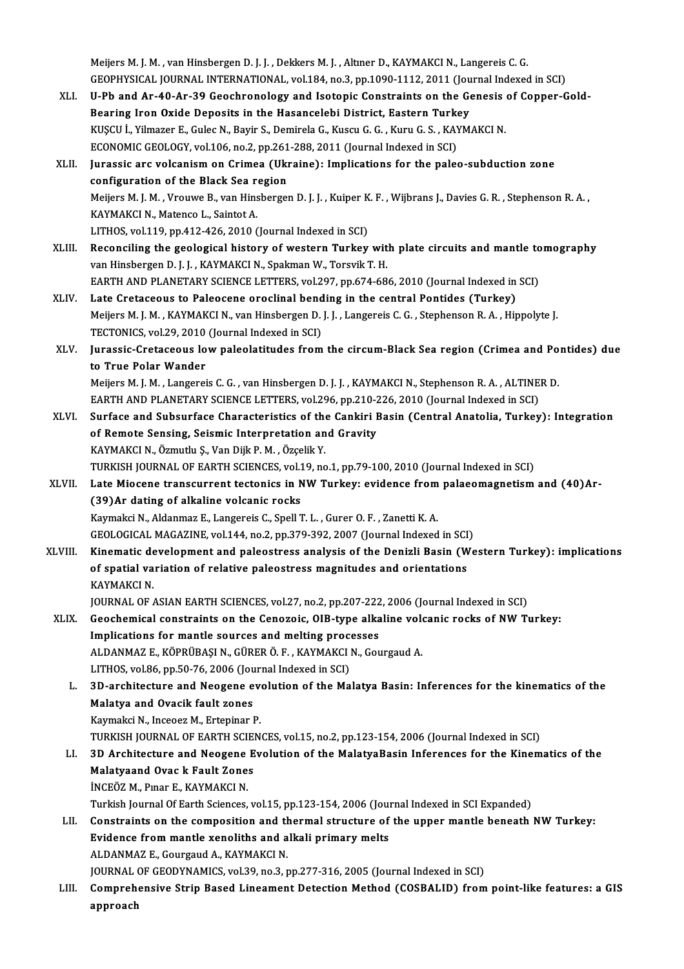Meijers M. J. M. , van Hinsbergen D. J. J. , Dekkers M. J. , Altıner D., KAYMAKCI N., Langereis C. G. Meijers M. J. M. , van Hinsbergen D. J. J. , Dekkers M. J. , Altıner D., KAYMAKCI N., Langereis C. G.<br>GEOPHYSICAL JOURNAL INTERNATIONAL, vol.184, no.3, pp.1090-1112, 2011 (Journal Indexed in SCI)<br>H. Ph. and. An. 40, An. 39 Meijers M. J. M. , van Hinsbergen D. J. J. , Dekkers M. J. , Altmer D., KAYMAKCI N., Langereis C. G.<br>GEOPHYSICAL JOURNAL INTERNATIONAL, vol.184, no.3, pp.1090-1112, 2011 (Journal Indexed in SCI)<br>XLI. U-Pb and Ar-40-Ar-39 G

GEOPHYSICAL JOURNAL INTERNATIONAL, vol.184, no.3, pp.1090-1112, 2011 (Jou<br>U-Pb and Ar-40-Ar-39 Geochronology and Isotopic Constraints on the Governing Iron Oxide Deposits in the Hasancelebi District, Eastern Turkey<br>PUSCU L U-Pb and Ar-40-Ar-39 Geochronology and Isotopic Constraints on the Genesis of Copper-Gold-<br>Bearing Iron Oxide Deposits in the Hasancelebi District, Eastern Turkey<br>KUŞCU İ., Yilmazer E., Gulec N., Bayir S., Demirela G., Kus Bearing Iron Oxide Deposits in the Hasancelebi District, Eastern Turkey KUŞCU İ., Yilmazer E., Gulec N., Bayir S., Demirela G., Kuscu G. G. , Kuru G. S. , KAYMAKCI N.<br>ECONOMIC GEOLOGY, vol.106, no.2, pp.261-288, 2011 (Journal Indexed in SCI)<br>XLII. Jurassic arc volcanism on Crimea (Ukraine): Im ECONOMIC GEOLOGY, vol.106, no.2, pp.261<br>Jurassic arc volcanism on Crimea (Uki<br>configuration of the Black Sea region<br>Mojiers M.J. M., Vrouwe B., van Hinsberge Jurassic arc volcanism on Crimea (Ukraine): Implications for the paleo-subduction zone<br>configuration of the Black Sea region<br>Meijers M. J. M. , Vrouwe B., van Hinsbergen D. J. J. , Kuiper K. F. , Wijbrans J., Davies G. R. configuration of the Black Sea re<br>Meijers M. J. M. , Vrouwe B., van Hins<br>KAYMAKCI N., Matenco L., Saintot A.<br>LITHOS vol 119 np 412 426 2010 ( Meijers M. J. M. , Vrouwe B., van Hinsbergen D. J. J. , Kuiper K<br>KAYMAKCI N., Matenco L., Saintot A.<br>LITHOS, vol.119, pp.412-426, 2010 (Journal Indexed in SCI)<br>Beconsiling the geological history of western Turkey. KAYMAKCI N., Matenco L., Saintot A.<br>LITHOS, vol.119, pp.412-426, 2010 (Journal Indexed in SCI)<br>XLIII. Reconciling the geological history of western Turkey with plate circuits and mantle tomography van Hinsbergen D. J. J., KAYMAKCI N., Spakman W., Torsvik T. H. Reconciling the geological history of western Turkey with plate circuits and mantle to<br>van Hinsbergen D. J. J. , KAYMAKCI N., Spakman W., Torsvik T. H.<br>EARTH AND PLANETARY SCIENCE LETTERS, vol.297, pp.674-686, 2010 (Journa van Hinsbergen D. J. J., KAYMAKCI N., Spakman W., Torsvik T. H.<br>EARTH AND PLANETARY SCIENCE LETTERS, vol.297, pp.674-686, 2010 (Journal Indexed in<br>XLIV. Late Cretaceous to Paleocene oroclinal bending in the central Pontide EARTH AND PLANETARY SCIENCE LETTERS, vol.297, pp.674-686, 2010 (Journal Indexed in SCI)<br>Late Cretaceous to Paleocene oroclinal bending in the central Pontides (Turkey)<br>Meijers M. J. M. , KAYMAKCI N., van Hinsbergen D. J. J Late Cretaceous to Paleocene oroclinal bend<br>Meijers M. J. M. , KAYMAKCI N., van Hinsbergen D.<br>TECTONICS, vol.29, 2010 (Journal Indexed in SCI)<br>Junessie Cretasseus Jew paleolatitudes from Meijers M. J. M. , KAYMAKCI N., van Hinsbergen D. J. J. , Langereis C. G. , Stephenson R. A. , Hippolyte J.<br>TECTONICS, vol.29, 2010 (Journal Indexed in SCI)<br>XLV. Jurassic-Cretaceous low paleolatitudes from the circum-B TECTONICS, vol.29, 2010 (Journal Indexed in SCI) Jurassic-Cretaceous low paleolatitudes from the circum-Black Sea region (Crimea and Po<br>to True Polar Wander<br>Meijers M. J. M. , Langereis C. G. , van Hinsbergen D. J. J. , KAYMAKCI N., Stephenson R. A. , ALTINER D.<br>FARTH AN to True Polar Wander<br>Meijers M. J. M. , Langereis C. G. , van Hinsbergen D. J. J. , KAYMAKCI N., Stephenson R. A. , ALTINE<br>EARTH AND PLANETARY SCIENCE LETTERS, vol.296, pp.210-226, 2010 (Journal Indexed in SCI)<br>Surface and EARTH AND PLANETARY SCIENCE LETTERS, vol.296, pp.210-226, 2010 (Journal Indexed in SCI)<br>XLVI. Surface and Subsurface Characteristics of the Cankiri Basin (Central Anatolia, Turkey): Integration EARTH AND PLANETARY SCIENCE LETTERS, vol.296, pp.210-2<br>Surface and Subsurface Characteristics of the Cankiri I<br>of Remote Sensing, Seismic Interpretation and Gravity<br>KAXMAKCLN, Özmutlu S. Van Diik R.M., Özselik V. Surface and Subsurface Characteristics of the<br>of Remote Sensing, Seismic Interpretation an<br>KAYMAKCI N., Özmutlu Ş., Van Dijk P. M. , Özçelik Y.<br>TURKISH JOURNAL OF FARTH SCIENCES vel 19. no of Remote Sensing, Seismic Interpretation and Gravity<br>KAYMAKCI N., Özmutlu Ş., Van Dijk P. M. , Özçelik Y.<br>TURKISH JOURNAL OF EARTH SCIENCES, vol.19, no.1, pp.79-100, 2010 (Journal Indexed in SCI)<br>Lata Miacone transsurrent KAYMAKCI N., Özmutlu Ş., Van Dijk P. M. , Özçelik Y.<br>TURKISH JOURNAL OF EARTH SCIENCES, vol.19, no.1, pp.79-100, 2010 (Journal Indexed in SCI)<br>XLVII. Late Miocene transcurrent tectonics in NW Turkey: evidence from palaeoma TURKISH JOURNAL OF EARTH SCIENCES, vol.1<br>Late Miocene transcurrent tectonics in N<br>(39)Ar dating of alkaline volcanic rocks<br>Kaymakai N. Aldanmag E. Langarais C. Spall 1 Late Miocene transcurrent tectonics in NW Turkey: evidence from<br>(39)Ar dating of alkaline volcanic rocks<br>Kaymakci N., Aldanmaz E., Langereis C., Spell T. L. , Gurer O. F. , Zanetti K. A.<br>CEOLOCICAL MACAZINE vol.144, no.2, (39)Ar dating of alkaline volcanic rocks<br>Kaymakci N., Aldanmaz E., Langereis C., Spell T. L. , Gurer O. F. , Zanetti K. A.<br>GEOLOGICAL MAGAZINE, vol.144, no.2, pp.379-392, 2007 (Journal Indexed in SCI)<br>Kinematis develenment Kaymakci N., Aldanmaz E., Langereis C., Spell T. L. , Gurer O. F. , Zanetti K. A.<br>GEOLOGICAL MAGAZINE, vol.144, no.2, pp.379-392, 2007 (Journal Indexed in SCI)<br>XLVIII. Kinematic development and paleostress analysis of the GEOLOGICAL MAGAZINE, vol.144, no.2, pp.379-392, 2007 (Journal Indexed in SCI<br>Kinematic development and paleostress analysis of the Denizli Basin (W<br>of spatial variation of relative paleostress magnitudes and orientations<br>K Kinematic de<br>of spatial va<br>KAYMAKCI N.<br>JOUPMAL OF of spatial variation of relative paleostress magnitudes and orientations<br>KAYMAKCI N.<br>JOURNAL OF ASIAN EARTH SCIENCES, vol.27, no.2, pp.207-222, 2006 (Journal Indexed in SCI)<br>Coochemical constraints on the Conogois, OJB tun KAYMAKCI N.<br>JOURNAL OF ASIAN EARTH SCIENCES, vol.27, no.2, pp.207-222, 2006 (Journal Indexed in SCI)<br>XLIX. Geochemical constraints on the Cenozoic, OIB-type alkaline volcanic rocks of NW Turkey:<br>Implications for montle cou JOURNAL OF ASIAN EARTH SCIENCES, vol.27, no.2, pp.207-222<br>Geochemical constraints on the Cenozoic, OIB-type alka<br>Implications for mantle sources and melting processes Geochemical constraints on the Cenozoic, OIB-type alkaline volonglications for mantle sources and melting processes<br>ALDANMAZ E., KÖPRÜBAŞIN., GÜRER Ö. F. , KAYMAKCIN., Gourgaud A.<br>LITHOS vol 96, pp 50, 76, 2006 (Journal In Implications for mantle sources and melting processes<br>ALDANMAZ E., KÖPRÜBAŞI N., GÜRER Ö. F. , KAYMAKCI N., Gourgaud A.<br>LITHOS, vol.86, pp.50-76, 2006 (Journal Indexed in SCI) ALDANMAZ E., KÖPRÜBAŞI N., GÜRER Ö. F. , KAYMAKCI N., Gourgaud A.<br>LITHOS, vol.86, pp.50-76, 2006 (Journal Indexed in SCI)<br>L. 3D-architecture and Neogene evolution of the Malatya Basin: Inferences for the kinematics of the<br> LITHOS, vol.86, pp.50-76, 2006 (Jou<br>3D-architecture and Neogene e<br>Malatya and Ovacik fault zones<br>Kaumaksi N. Inseesr M. Exteninar I **3D-architecture and Neogene evourned**<br>Malatya and Ovacik fault zones<br>Kaymakci N., Inceoez M., Ertepinar P.<br>TURKISH JOURNAL OF FARTH SCIEN. Malatya and Ovacik fault zones<br>Kaymakci N., Inceoez M., Ertepinar P.<br>TURKISH JOURNAL OF EARTH SCIENCES, vol.15, no.2, pp.123-154, 2006 (Journal Indexed in SCI)<br>2D. Architecture and Neogone Evolution of the MalatyaBasin Inf Kaymakci N., Inceoez M., Ertepinar P.<br>TURKISH JOURNAL OF EARTH SCIENCES, vol.15, no.2, pp.123-154, 2006 (Journal Indexed in SCI)<br>LI. 3D Architecture and Neogene Evolution of the MalatyaBasin Inferences for the Kinematics o TURKISH JOURNAL OF EARTH SCIE<br>3D Architecture and Neogene E<br>Malatyaand Ovac k Fault Zones<br>INCEÖZ M. Bror E. KAYMAKCI N 3D Architecture and Neogene<br>Malatyaand Ovac k Fault Zone:<br>İNCEÖZ M., Pınar E., KAYMAKCI N.<br>Turkich Journal Of Farth Sciences. Malatyaand Ovac k Fault Zones<br>İNCEÖZ M., Pınar E., KAYMAKCI N.<br>Turkish Journal Of Earth Sciences, vol.15, pp.123-154, 2006 (Journal Indexed in SCI Expanded)<br>Constraints on the somnesition and thermal structure of the unner INCEÖZ M., Pınar E., KAYMAKCI N.<br>Turkish Journal Of Earth Sciences, vol.15, pp.123-154, 2006 (Journal Indexed in SCI Expanded)<br>LII. Constraints on the composition and thermal structure of the upper mantle beneath NW Turkey Turkish Journal Of Earth Sciences, vol.15, pp.123-154, 2006 (Journal constraints on the composition and thermal structure of<br>Evidence from mantle xenoliths and alkali primary melts<br>ALDANMAZE, Courgaud A, KAYMAKCLN Constraints on the composition and the<br>Evidence from mantle xenoliths and a<br>ALDANMAZ E., Gourgaud A., KAYMAKCI N.<br>JOUPMAL OF CEODYMAMICS xpl 20, no.2, x Evidence from mantle xenoliths and alkali primary melts<br>ALDANMAZ E., Gourgaud A., KAYMAKCI N.<br>JOURNAL OF GEODYNAMICS, vol.39, no.3, pp.277-316, 2005 (Journal Indexed in SCI) ALDANMAZ E., Gourgaud A., KAYMAKCI N.<br>JOURNAL OF GEODYNAMICS, vol.39, no.3, pp.277-316, 2005 (Journal Indexed in SCI)<br>LIII. Comprehensive Strip Based Lineament Detection Method (COSBALID) from point-like features: a GI JOURNAL<br><mark>Compreh</mark><br>approach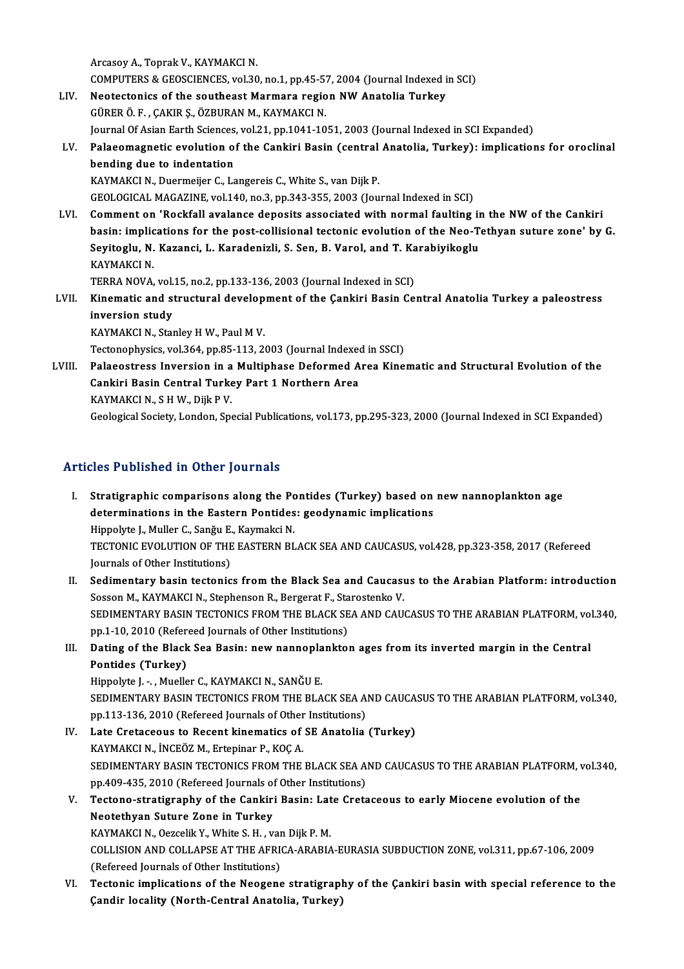Arcasoy A., Toprak V., KAYMAKCI N. Arcasoy A., Toprak V., KAYMAKCI N.<br>COMPUTERS & GEOSCIENCES, vol.30, no.1, pp.45-57, 2004 (Journal Indexed in SCI)<br>Nestastories of the southeast Marmare region NW Anatalia Turkey. Arcasoy A., Toprak V., KAYMAKCI N.<br>COMPUTERS & GEOSCIENCES, vol.30, no.1, pp.45-57, 2004 (Journal Indexed i<br>LIV. Neotectonics of the southeast Marmara region NW Anatolia Turkey<br>CUPER Ö.E., CAKIR S. ÖZBURAN M. KAYMAKCI N. COMPUTERS & GEOSCIENCES, vol.30, no.1, pp.45-5<sup>.</sup><br>Neotectonics of the southeast Marmara regio<br>GÜRER Ö. F. , ÇAKIR Ş., ÖZBURAN M., KAYMAKCI N.<br>Journal Of Asian Farth Ssianses vol.31, nn 1041-10 Neotectonics of the southeast Marmara region NW Anatolia Turkey<br>GÜRER Ö. F., ÇAKIR Ş., ÖZBURAN M., KAYMAKCI N.<br>Journal Of Asian Earth Sciences, vol.21, pp.1041-1051, 2003 (Journal Indexed in SCI Expanded)<br>Palaeomagnetic ev GÜRER Ö. F. , ÇAKIR Ş., ÖZBURAN M., KAYMAKCI N.<br>Journal Of Asian Earth Sciences, vol.21, pp.1041-1051, 2003 (Journal Indexed in SCI Expanded)<br>LV. Palaeomagnetic evolution of the Cankiri Basin (central Anatolia, Turkey) **Journal Of Asian Earth Sciences<br>Palaeomagnetic evolution of<br>bending due to indentation<br>KAYMAKCLN, Duermejier C. Le** Palaeomagnetic evolution of the Cankiri Basin (central<br>bending due to indentation<br>KAYMAKCI N., Duermeijer C., Langereis C., White S., van Dijk P.<br>CEOLOCICAL MACAZINE vol.140 no.3 nn.343.355.3003.(Jou bending due to indentation<br>KAYMAKCI N., Duermeijer C., Langereis C., White S., van Dijk P.<br>GEOLOGICAL MAGAZINE, vol.140, no.3, pp.343-355, 2003 (Journal Indexed in SCI) KAYMAKCI N., Duermeijer C., Langereis C., White S., van Dijk P.<br>GEOLOGICAL MAGAZINE, vol.140, no.3, pp.343-355, 2003 (Journal Indexed in SCI)<br>LVI. Comment on 'Rockfall avalance deposits associated with normal faulting in t GEOLOGICAL MAGAZINE, vol.140, no.3, pp.343-355, 2003 (Journal Indexed in SCI)<br>Comment on 'Rockfall avalance deposits associated with normal faulting in the NW of the Cankiri<br>basin: implications for the post-collisional tec Comment on 'Rockfall avalance deposits associated with normal faulting in<br>basin: implications for the post-collisional tectonic evolution of the Neo-T<br>Seyitoglu, N. Kazanci, L. Karadenizli, S. Sen, B. Varol, and T. Karabiy basin: implications for the post-collisional tectonic evolution of the Neo-Tethyan suture zone' by G.<br>Seyitoglu, N. Kazanci, L. Karadenizli, S. Sen, B. Varol, and T. Karabiyikoglu<br>KAYMAKCI N. Seyitoglu, N. Kazanci, L. Karadenizli, S. Sen, B. Varol, and T. Ka<br>KAYMAKCI N.<br>TERRA NOVA, vol.15, no.2, pp.133-136, 2003 (Journal Indexed in SCI)<br>Kinamatia and atmatural davelenment of the Cankini Basin Ce KAYMAKCI N.<br>TERRA NOVA, vol.15, no.2, pp.133-136, 2003 (Journal Indexed in SCI)<br>LVII. Kinematic and structural development of the Çankiri Basin Central Anatolia Turkey a paleostress<br>inversion study TERRA NOVA, vol.<br>Kinematic and study<br>inversion study Kinematic and structural develop<br>inversion study<br>KAYMAKCI N., Stanley H W., Paul M V.<br>Testanophysiss vol 364, np 95, 113, 34 inversion study<br>KAYMAKCI N., Stanley H W., Paul M V.<br>Tectonophysics, vol.364, pp.85-113, 2003 (Journal Indexed in SSCI) KAYMAKCI N., Stanley H W., Paul M V.<br>Tectonophysics, vol.364, pp.85-113, 2003 (Journal Indexed in SSCI)<br>LVIII. Palaeostress Inversion in a Multiphase Deformed Area Kinematic and Structural Evolution of the<br>Conkini Bosin Co Tectonophysics, vol.364, pp.85-113, 2003 (Journal Indexed<br>Palaeostress Inversion in a Multiphase Deformed A<br>Cankiri Basin Central Turkey Part 1 Northern Area Palaeostress Inversion in a<br>Cankiri Basin Central Turke<br>KAYMAKCI N., S H W., Dijk P V.<br>Ceological Society, London, Spe

Cankiri Basin Central Turkey Part 1 Northern Area<br>KAYMAKCI N., S H W., Dijk P V.<br>Geological Society, London, Special Publications, vol.173, pp.295-323, 2000 (Journal Indexed in SCI Expanded)

### Articles Published in Other Journals

- rticles Published in Other Journals<br>I. Stratigraphic comparisons along the Pontides (Turkey) based on new nannoplankton age<br>determinations in the Eastern Bontides: seedynamis implications determinations in the Eastern Pourhand<br>Stratigraphic comparisons along the Pontides (Turkey) based on<br>determinations in the Eastern Pontides: geodynamic implications<br>Hinnelite L. Muller C. Sonën E. Kaumaksi N Stratigraphic comparisons along the Po<br>determinations in the Eastern Pontides<br>Hippolyte J., Muller C., Sanğu E., Kaymakci N.<br>TECTONIC EVOLUTION OF THE EASTEDN PL determinations in the Eastern Pontides: geodynamic implications<br>Hippolyte J., Muller C., Sanğu E., Kaymakci N.<br>TECTONIC EVOLUTION OF THE EASTERN BLACK SEA AND CAUCASUS, vol.428, pp.323-358, 2017 (Refereed<br>Journals of Other Hippolyte J., Muller C., Sanğu E.<br>TECTONIC EVOLUTION OF THE<br>Journals of Other Institutions)<br>Sedimentary besin tectonic TECTONIC EVOLUTION OF THE EASTERN BLACK SEA AND CAUCASUS, vol.428, pp.323-358, 2017 (Refereed<br>Journals of Other Institutions)<br>II. Sedimentary basin tectonics from the Black Sea and Caucasus to the Arabian Platform: introdu
- Journals of Other Institutions)<br>Sedimentary basin tectonics from the Black Sea and Caucası<br>Sosson M., KAYMAKCI N., Stephenson R., Bergerat F., Starostenko V.<br>SEDIMENTARY BASIN TECTONICS FROM THE BLACK SEA AND CAU Sedimentary basin tectonics from the Black Sea and Caucasus to the Arabian Platform: introduction<br>Sosson M., KAYMAKCI N., Stephenson R., Bergerat F., Starostenko V.<br>SEDIMENTARY BASIN TECTONICS FROM THE BLACK SEA AND CAUCAS Sosson M., KAYMAKCI N., Stephenson R., Bergerat F., Sta<br>SEDIMENTARY BASIN TECTONICS FROM THE BLACK SE<br>pp.1-10, 2010 (Refereed Journals of Other Institutions)<br>Dating of the Black See Basin, now nonnonlanktos SEDIMENTARY BASIN TECTONICS FROM THE BLACK SEA AND CAUCASUS TO THE ARABIAN PLATFORM, volpp.1-10, 2010 (Refereed Journals of Other Institutions)<br>III. Dating of the Black Sea Basin: new nannoplankton ages from its inverted m

# pp.1-10, 2010 (Refer<br>Dating of the Black<br>Pontides (Turkey)<br>Hinnokra La Muolle Dating of the Black Sea Basin: new nannopla<br>Pontides (Turkey)<br>Hippolyte J. -. , Mueller C., KAYMAKCI N., SANĞU E.<br>SEDIMENTARY RASIN TECTONICS EROM THE RLA

Pontides (Turkey)<br>Hippolyte J. -. , Mueller C., KAYMAKCI N., SANĞU E.<br>SEDIMENTARY BASIN TECTONICS FROM THE BLACK SEA AND CAUCASUS TO THE ARABIAN PLATFORM, vol.340,<br>pp.113.136.2010 (Pefereed Journals of Other Institutions) Hippolyte J. - , Mueller C., KAYMAKCI N., SANĞU E.<br>SEDIMENTARY BASIN TECTONICS FROM THE BLACK SEA A.<br>pp.113-136, 2010 (Refereed Journals of Other Institutions)<br>Late Cratageous to Bosent kinomatics of SE Anatolia

- SEDIMENTARY BASIN TECTONICS FROM THE BLACK SEA AND CAUCA:<br>pp.113-136, 2010 (Refereed Journals of Other Institutions)<br>IV. Late Cretaceous to Recent kinematics of SE Anatolia (Turkey)<br>KAYMAKCIN, INCEÖZ M. Exterings B. KOC A PP.113-136, 2010 (Refereed Journals of Other<br>Late Cretaceous to Recent kinematics of<br>KAYMAKCI N., İNCEÖZ M., Ertepinar P., KOÇ A.<br>SEDIMENTARY RASIN TECTONICS EROM TUE Late Cretaceous to Recent kinematics of SE Anatolia (Turkey)<br>KAYMAKCI N., İNCEÖZ M., Ertepinar P., KOÇ A.<br>SEDIMENTARY BASIN TECTONICS FROM THE BLACK SEA AND CAUCASUS TO THE ARABIAN PLATFORM, vol.340,<br>nn 400 435 -2010 (Pefe KAYMAKCI N., İNCEÖZ M., Ertepinar P., KOÇ A.<br>SEDIMENTARY BASIN TECTONICS FROM THE BLACK SEA A.<br>pp.409-435, 2010 (Refereed Journals of Other Institutions)<br>Tectone, stratisnanby of the Cankini Basin; Late Crate SEDIMENTARY BASIN TECTONICS FROM THE BLACK SEA AND CAUCASUS TO THE ARABIAN PLATFORM, v<br>pp.409-435, 2010 (Refereed Journals of Other Institutions)<br>V. Tectono-stratigraphy of the Cankiri Basin: Late Cretaceous to early Mioce
- pp.409-435, 2010 (Refereed Journals of<br>Tectono-stratigraphy of the Cankiri<br>Neotethyan Suture Zone in Turkey<br>KANMAKCLN, Oggelik V, White S, H, W Tectono-stratigraphy of the Cankiri Basin: Lat<br>Neotethyan Suture Zone in Turkey<br>KAYMAKCI N., Oezcelik Y., White S. H. , van Dijk P. M.<br>COLLISION AND COLLABSE AT THE AEDICA ARABIA Neotethyan Suture Zone in Turkey<br>KAYMAKCI N., Oezcelik Y., White S. H. , van Dijk P. M.<br>COLLISION AND COLLAPSE AT THE AFRICA-ARABIA-EURASIA SUBDUCTION ZONE, vol.311, pp.67-106, 2009<br>(Refereed Jeurnale of Other Institutione

KAYMAKCI N., Oezcelik Y., White S. H. , var<br>COLLISION AND COLLAPSE AT THE AFRIC<br>(Refereed Journals of Other Institutions)<br>Testonis implications of the Neogang COLLISION AND COLLAPSE AT THE AFRICA-ARABIA-EURASIA SUBDUCTION ZONE, vol.311, pp.67-106, 2009<br>(Refereed Journals of Other Institutions)<br>VI. Tectonic implications of the Neogene stratigraphy of the Çankiri basin with specia

(Refereed Journals of Other Institutions)<br>Tectonic implications of the Neogene stratigrapl<br>Çandir locality (North-Central Anatolia, Turkey)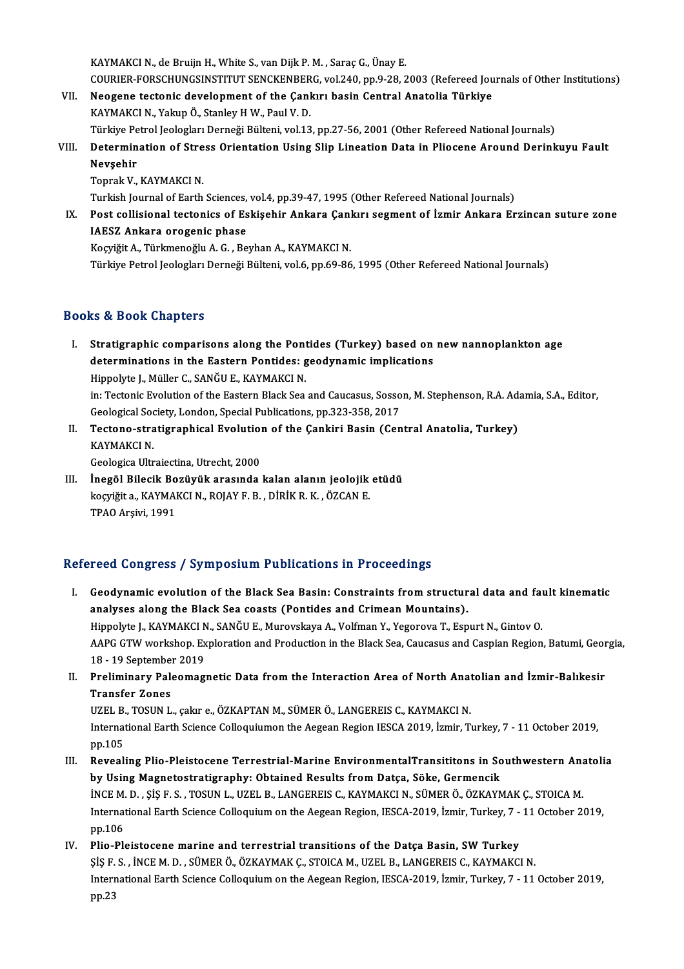KAYMAKCI N., de Bruijn H., White S., van Dijk P. M., Saraç G., Ünay E. KAYMAKCI N., de Bruijn H., White S., van Dijk P. M. , Saraç G., Ünay E.<br>COURIER-FORSCHUNGSINSTITUT SENCKENBERG, vol.240, pp.9-28, 2003 (Refereed Journals of Other Institutions)<br>Neggene testenis development of the Caplum ba

- KAYMAKCI N., de Bruijn H., White S., van Dijk P. M. , Saraç G., Ünay E.<br>COURIER-FORSCHUNGSINSTITUT SENCKENBERG, vol.240, pp.9-28, 2003 (Refereed Jou<br>VII. Neogene tectonic development of the Çankırı basin Central Anatolia T COURIER-FORSCHUNGSINSTITUT SENCKENBER<br>Neogene tectonic development of the Çanl<br>KAYMAKCI N., Yakup Ö., Stanley H W., Paul V. D.<br>Türkiye Petrel Jeologları Derneği Bülteni vel 12 VII. Neogene tectonic development of the Çankırı basin Central Anatolia Türkiye<br>KAYMAKCI N., Yakup Ö., Stanley H W., Paul V. D.<br>Türkiye Petrol Jeologları Derneği Bülteni, vol.13, pp.27-56, 2001 (Other Refereed National Jou KAYMAKCI N., Yakup Ö., Stanley H W., Paul V. D.<br>Türkiye Petrol Jeologları Derneği Bülteni, vol.13, pp.27-56, 2001 (Other Refereed National Journals)<br>VIII. Determination of Stress Orientation Using Slip Lineation Data i
- Türkiye Pe<br><mark>Determin</mark><br>Nevşehir<br><sup>Tonrak V</sup> Determination of Stre<br>Nevşehir<br>Toprak V., KAYMAKCI N.<br>Turkich Journal of Forth

Nevşehir<br>Toprak V., KAYMAKCI N.<br>Turkish Journal of Earth Sciences, vol.4, pp.39-47, 1995 (Other Refereed National Journals)<br>Post sollisional testoniss of Eskisobir, Ankara Cankuy sozmant of İsmir, Ankara Er

Toprak V., KAYMAKCI N.<br>Turkish Journal of Earth Sciences, vol.4, pp.39-47, 1995 (Other Refereed National Journals)<br>IX. Post collisional tectonics of Eskişehir Ankara Çankırı segment of İzmir Ankara Erzincan suture zone<br>IAE Turkish Journal of Earth Sciences,<br>Post collisional tectonics of Es<br>IAESZ Ankara orogenic phase Post collisional tectonics of Eskişehir Ankara Çanl<br>IAESZ Ankara orogenic phase<br>Koçyiğit A., Türkmenoğlu A. G. , Beyhan A., KAYMAKCI N.<br>Türkiye Petrel leologları Derneği Bültoni vel 6 np.60,96 IAESZ Ankara orogenic phase<br>Koçyiğit A., Türkmenoğlu A. G. , Beyhan A., KAYMAKCI N.<br>Türkiye Petrol Jeologları Derneği Bülteni, vol.6, pp.69-86, 1995 (Other Refereed National Journals)

### Books&Book Chapters

- ooks & Book Chapters<br>I. Stratigraphic comparisons along the Pontides (Turkey) based on new nannoplankton age<br>determinations in the Eastern Bontides: seedynamis impliestions to a Book dimpless<br>Stratigraphic comparisons along the Pontides (Turkey) based on<br>determinations in the Eastern Pontides: geodynamic implications<br>Hinnelite L. Müller C. SANČU E. KAYMAKCLN Stratigraphic comparisons along the Pont<br>determinations in the Eastern Pontides: g<br>Hippolyte J., Müller C., SANĞU E., KAYMAKCI N.<br>in: Tectonic Evolution of the Eastern Plack Sea determinations in the Eastern Pontides: geodynamic implications<br>Hippolyte J., Müller C., SANĞU E., KAYMAKCI N.<br>in: Tectonic Evolution of the Eastern Black Sea and Caucasus, Sosson, M. Stephenson, R.A. Adamia, S.A., Editor, Hippolyte J., Müller C., SANĞU E., KAYMAKCI N.<br>in: Tectonic Evolution of the Eastern Black Sea and Caucasus, Sosso<br>Geological Society, London, Special Publications, pp.323-358, 2017<br>Testone, stratistraphical Evolution of t in: Tectonic Evolution of the Eastern Black Sea and Caucasus, Sosson, M. Stephenson, R.A. Ad. Geological Society, London, Special Publications, pp.323-358, 2017<br>II. Tectono-stratigraphical Evolution of the Çankiri Basin (C
- Geological Soc<br>Tectono-stra<br>KAYMAKCI N.<br>Ceologica Ultr Tectono-stratigraphical Evolution<br>KAYMAKCI N.<br>Geologica Ultraiectina, Utrecht, 2000<br>Inegël Bilesik Pegëvëk execunda KAYMAKCI N.<br>Geologica Ultraiectina, Utrecht, 2000<br>III. İnegöl Bilecik Bozüyük arasında kalan alanın jeolojik etüdü<br>Isoviğit a. KAYMAKCI N. BOJAV E. B., DİRİK B. K., ÖZCAN E.
- Geologica Ultraiectina, Utrecht, 2000<br>İnegöl Bilecik Bozüyük arasında kalan alanın jeolojik<br>koçyiğit a., KAYMAKCI N., ROJAY F. B. , DİRİK R. K. , ÖZCAN E.<br>TPAO Arsivi 1991 İnegöl Bilecik Bo<br>koçyiğit a., KAYMAl<br>TPAO Arşivi, 1991

# TPAO Arşivi, 1991<br>Refereed Congress / Symposium Publications in Proceedings

- efereed Congress / Symposium Publications in Proceedings<br>I. Geodynamic evolution of the Black Sea Basin: Constraints from structural data and fault kinematic<br>Sea Plack Sea Seasts (Bontides and Crimean Mountains) analyses along the Black Sea coasts (Pontides and Crimean Mountains).<br>Hippolyte J., KAYMAKCI N., SANĞU E., Murovskaya A., Volfman Y., Yegorova T., Espurt N., Gintov O. Geodynamic evolution of the Black Sea Basin: Constraints from structural data and fau<br>analyses along the Black Sea coasts (Pontides and Crimean Mountains).<br>Hippolyte J., KAYMAKCI N., SANĞU E., Murovskaya A., Volfman Y., Ye analyses along the Black Sea coasts (Pontides and Crimean Mountains).<br>Hippolyte J., KAYMAKCI N., SANĞU E., Murovskaya A., Volfman Y., Yegorova T., Espurt N., Gintov O.<br>AAPG GTW workshop. Exploration and Production in the B Hippolyte J., KAYMAKCI N<br>AAPG GTW workshop. Ex<br>18 - 19 September 2019<br>Proliminary Paleomag AAPG GTW workshop. Exploration and Production in the Black Sea, Caucasus and Caspian Region, Batumi, Geor<br>18 - 19 September 2019<br>II. Preliminary Paleomagnetic Data from the Interaction Area of North Anatolian and İzmir-Bal
- 18 19 September<br>Preliminary Pale<br>Transfer Zones<br>UZEL P. TOSUN L Preliminary Paleomagnetic Data from the Interaction Area of North Anat<br>Transfer Zones<br>UZEL B., TOSUN L., çakır e., ÖZKAPTAN M., SÜMER Ö., LANGEREIS C., KAYMAKCI N.<br>International Farth Science Colloquiumon the Accean Begion

Transfer Zones<br>UZEL B., TOSUN L., çakır e., ÖZKAPTAN M., SÜMER Ö., LANGEREIS C., KAYMAKCI N.<br>International Earth Science Colloquiumon the Aegean Region IESCA 2019, İzmir, Turkey, 7 - 11 October 2019,<br>nn 105 UZEL B.<br>Internat<br>pp.105 International Earth Science Colloquiumon the Aegean Region IESCA 2019, İzmir, Turkey, 7 - 11 October 2019,<br>pp.105<br>III. Revealing Plio-Pleistocene Terrestrial-Marine EnvironmentalTransititons in Southwestern Anatolia<br>by Usi

- pp.105<br>Revealing Plio-Pleistocene Terrestrial-Marine EnvironmentalTransititons in So<br>by Using Magnetostratigraphy: Obtained Results from Datça, Söke, Germencik<br>INCEM D. SİS E.S. TOSUN L. UZEL B. LANCEREIS G. KAYMAKÇI N. SÜ Revealing Plio-Pleistocene Terrestrial-Marine EnvironmentalTransititons in Southwestern Ana<br>by Using Magnetostratigraphy: Obtained Results from Datça, Söke, Germencik<br>İNCEM. D. , ŞİŞ F.S. , TOSUN L., UZEL B., LANGEREIS C., by Using Magnetostratigraphy: Obtained Results from Datça, Söke, Germencik<br>INCE M. D. , ŞİŞ F. S. , TOSUN L., UZEL B., LANGEREIS C., KAYMAKCI N., SÜMER Ö., ÖZKAYMAK Ç., STOICA M.<br>International Earth Science Colloquium on t ince M.<br>Internat<br>pp.106<br>Plie Ple International Earth Science Colloquium on the Aegean Region, IESCA-2019, İzmir, Turkey, 7 -<br>pp.106<br>IV. Plio-Pleistocene marine and terrestrial transitions of the Datça Basin, SW Turkey<br>SIS E.S. INCEM D. SÜMERÖ ÖZVANMAKG ST
- pp.106<br>IV. Plio-Pleistocene marine and terrestrial transitions of the Datça Basin, SW Turkey<br>Sis F. S., İNCE M. D., SÜMER Ö., ÖZKAYMAK Ç., STOICA M., UZEL B., LANGEREIS C., KAYMAKCI N. Plio-Pleistocene marine and terrestrial transitions of the Datça Basin, SW Turkey<br>ȘİŞ F. S. , İNCE M. D. , SÜMER Ö., ÖZKAYMAK Ç., STOICA M., UZEL B., LANGEREIS C., KAYMAKCI N.<br>International Earth Science Colloquium on the ŞİŞ F.<br>Interr<br>pp.23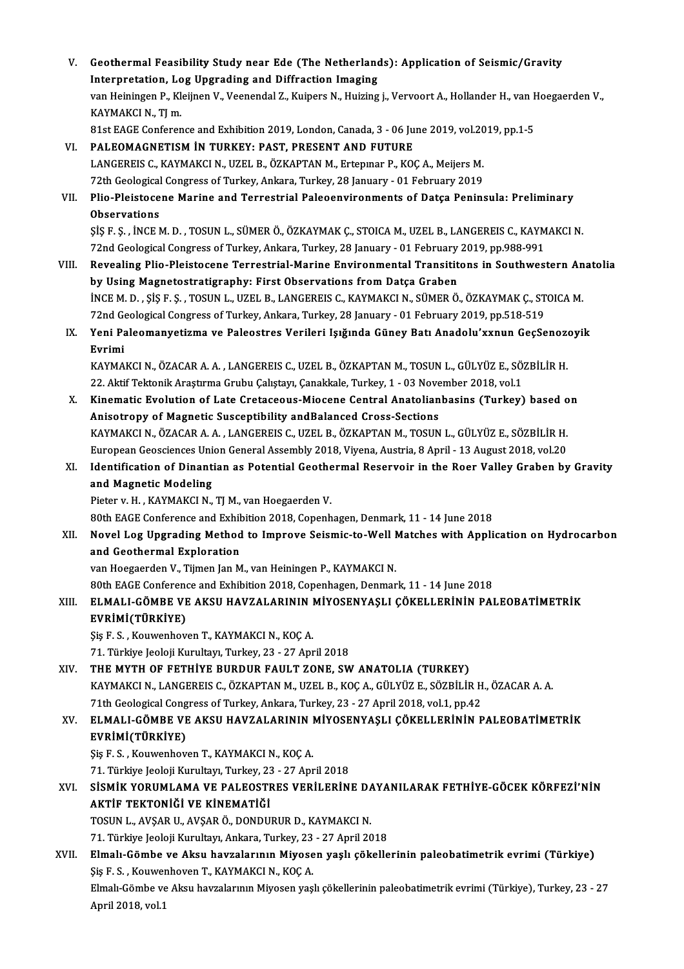| V.    | Geothermal Feasibility Study near Ede (The Netherlands): Application of Seismic/Gravity                            |
|-------|--------------------------------------------------------------------------------------------------------------------|
|       | Interpretation, Log Upgrading and Diffraction Imaging                                                              |
|       | van Heiningen P., Kleijnen V., Veenendal Z., Kuipers N., Huizing j., Vervoort A., Hollander H., van Hoegaerden V., |
|       | KAYMAKCI N., TJ m.                                                                                                 |
|       | 81st EAGE Conference and Exhibition 2019, London, Canada, 3 - 06 June 2019, vol.2019, pp.1-5                       |
| VI.   | PALEOMAGNETISM IN TURKEY: PAST, PRESENT AND FUTURE                                                                 |
|       | LANGEREIS C., KAYMAKCI N., UZEL B., ÖZKAPTAN M., Ertepinar P., KOÇ A., Meijers M.                                  |
|       | 72th Geological Congress of Turkey, Ankara, Turkey, 28 January - 01 February 2019                                  |
| VII.  | Plio-Pleistocene Marine and Terrestrial Paleoenvironments of Datça Peninsula: Preliminary                          |
|       | Observations                                                                                                       |
|       | ŞİŞ F. Ş., İNCE M. D., TOSUN L., SÜMER Ö., ÖZKAYMAK Ç., STOICA M., UZEL B., LANGEREIS C., KAYMAKCI N.              |
|       | 72nd Geological Congress of Turkey, Ankara, Turkey, 28 January - 01 February 2019, pp.988-991                      |
| VIII. | Revealing Plio-Pleistocene Terrestrial-Marine Environmental Transititons in Southwestern Anatolia                  |
|       | by Using Magnetostratigraphy: First Observations from Datça Graben                                                 |
|       | INCE M. D., ŞIŞ F. Ş., TOSUN L., UZEL B., LANGEREIS C., KAYMAKCI N., SÜMER Ö., ÖZKAYMAK Ç., STOICA M.              |
|       | 72nd Geological Congress of Turkey, Ankara, Turkey, 28 January - 01 February 2019, pp.518-519                      |
| IX.   | Yeni Paleomanyetizma ve Paleostres Verileri Işığında Güney Batı Anadolu'xxnun GeçSenozoyik                         |
|       | Evrimi                                                                                                             |
|       | KAYMAKCI N., ÖZACAR A. A., LANGEREIS C., UZEL B., ÖZKAPTAN M., TOSUN L., GÜLYÜZ E., SÖZBİLİR H.                    |
|       | 22. Aktif Tektonik Araştırma Grubu Çalıştayı, Çanakkale, Turkey, 1 - 03 November 2018, vol.1                       |
| Х.    | Kinematic Evolution of Late Cretaceous-Miocene Central Anatolianbasins (Turkey) based on                           |
|       | Anisotropy of Magnetic Susceptibility and Balanced Cross-Sections                                                  |
|       | KAYMAKCI N., ÖZACAR A. A., LANGEREIS C., UZEL B., ÖZKAPTAN M., TOSUN L., GÜLYÜZ E., SÖZBİLİR H.                    |
|       | European Geosciences Union General Assembly 2018, Viyena, Austria, 8 April - 13 August 2018, vol.20                |
| XI.   | Identification of Dinantian as Potential Geothermal Reservoir in the Roer Valley Graben by Gravity                 |
|       | and Magnetic Modeling                                                                                              |
|       | Pieter v. H., KAYMAKCI N., TJ M., van Hoegaerden V.                                                                |
|       | 80th EAGE Conference and Exhibition 2018, Copenhagen, Denmark, 11 - 14 June 2018                                   |
| XII.  | Novel Log Upgrading Method to Improve Seismic-to-Well Matches with Application on Hydrocarbon                      |
|       | and Geothermal Exploration                                                                                         |
|       | van Hoegaerden V., Tijmen Jan M., van Heiningen P., KAYMAKCI N.                                                    |
|       | 80th EAGE Conference and Exhibition 2018, Copenhagen, Denmark, 11 - 14 June 2018                                   |
| XIII. | ELMALI-GÖMBE VE AKSU HAVZALARININ MİYOSENYAŞLI ÇÖKELLERİNİN PALEOBATİMETRİK<br>EVRİMİ(TÜRKİYE)                     |
|       | Şiş F. S., Kouwenhoven T., KAYMAKCI N., KOÇ A.                                                                     |
|       | 71. Türkiye Jeoloji Kurultayı, Turkey, 23 - 27 April 2018                                                          |
| XIV.  | THE MYTH OF FETHIYE BURDUR FAULT ZONE, SW ANATOLIA (TURKEY)                                                        |
|       | KAYMAKCI N., LANGEREIS C., ÖZKAPTAN M., UZEL B., KOÇ A., GÜLYÜZ E., SÖZBİLİR H., ÖZACAR A. A.                      |
|       | 71th Geological Congress of Turkey, Ankara, Turkey, 23 - 27 April 2018, vol.1, pp.42                               |
| XV.   | ELMALI-GÖMBE VE AKSU HAVZALARININ MİYOSENYAŞLI ÇÖKELLERİNİN PALEOBATİMETRİK                                        |
|       | EVRİMİ(TÜRKİYE)                                                                                                    |
|       | Şiş F. S., Kouwenhoven T., KAYMAKCI N., KOÇ A.                                                                     |
|       | 71. Türkiye Jeoloji Kurultayı, Turkey, 23 - 27 April 2018                                                          |
| XVI.  | SISMIK YORUMLAMA VE PALEOSTRES VERILERINE DAYANILARAK FETHIYE-GÖCEK KÖRFEZI'NIN                                    |
|       | AKTİF TEKTONİĞİ VE KİNEMATİĞİ                                                                                      |
|       | TOSUN L., AVŞAR U., AVŞAR Ö., DONDURUR D., KAYMAKCI N.                                                             |
|       | 71. Türkiye Jeoloji Kurultayı, Ankara, Turkey, 23 - 27 April 2018                                                  |
| XVII. | Elmalı-Gömbe ve Aksu havzalarının Miyosen yaşlı çökellerinin paleobatimetrik evrimi (Türkiye)                      |
|       | $\mathcal{C}_{10}$ E C $\mathcal{C}_{2}$ Volumerhouse T VAVMAVCI N VOC A                                           |

71. Türkiye Jeoloji Kurultayı, Ankara, Turkey, 23<br>Elmalı-Gömbe ve Aksu havzalarının Miyose<br>Şiş F. S. , Kouwenhoven T., KAYMAKCI N., KOÇ A.<br>Elmak Gömbe ve Aksu havzalarının Miyoson vas Elmalı-Gömbe ve Aksu havzalarının Miyosen yaşlı çökellerinin paleobatimetrik evrimi (Türkiye)<br>Şiş F. S. , Kouwenhoven T., KAYMAKCI N., KOÇ A.<br>Elmalı-Gömbe ve Aksu havzalarının Miyosen yaşlı çökellerinin paleobatimetrik evr Şiş F. S. , Kouwer<br>Elmalı-Gömbe ve<br>April 2018, vol.1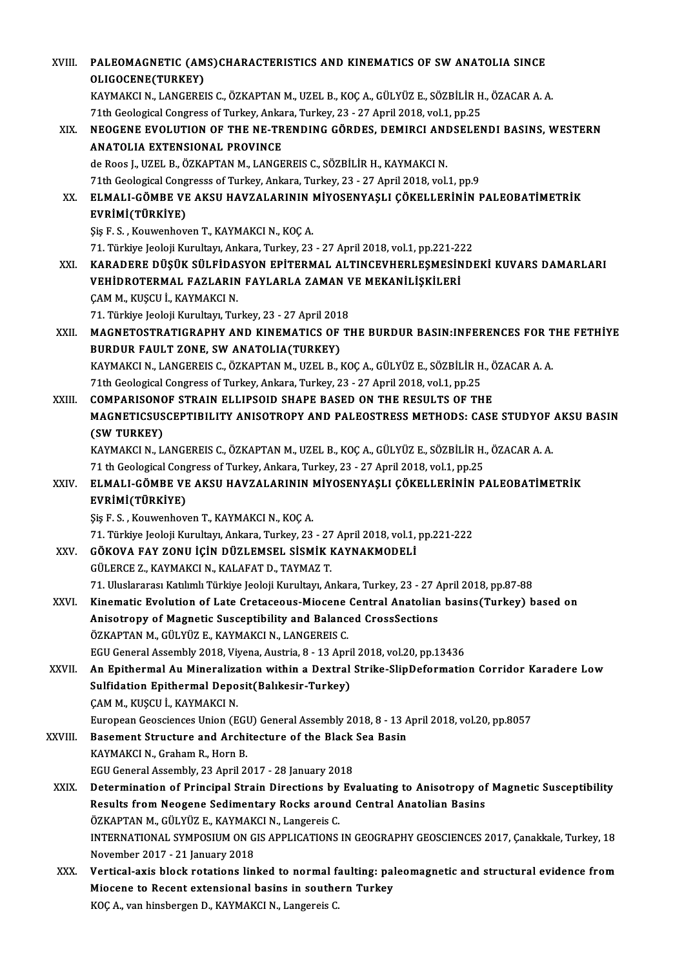| XVIII.  | PALEOMAGNETIC (AMS)CHARACTERISTICS AND KINEMATICS OF SW ANATOLIA SINCE                                                                                         |
|---------|----------------------------------------------------------------------------------------------------------------------------------------------------------------|
|         | OLIGOCENE(TURKEY)                                                                                                                                              |
|         | KAYMAKCI N., LANGEREIS C., ÖZKAPTAN M., UZEL B., KOÇ A., GÜLYÜZ E., SÖZBİLİR H., ÖZACAR A. A.                                                                  |
|         | 71th Geological Congress of Turkey, Ankara, Turkey, 23 - 27 April 2018, vol.1, pp.25                                                                           |
| XIX.    | NEOGENE EVOLUTION OF THE NE-TRENDING GÖRDES, DEMIRCI ANDSELENDI BASINS, WESTERN                                                                                |
|         | <b>ANATOLIA EXTENSIONAL PROVINCE</b>                                                                                                                           |
|         | de Roos J., UZEL B., ÖZKAPTAN M., LANGEREIS C., SÖZBİLİR H., KAYMAKCI N.                                                                                       |
|         | 71th Geological Congresss of Turkey, Ankara, Turkey, 23 - 27 April 2018, vol.1, pp.9                                                                           |
| XX.     | ELMALI-GÖMBE VE AKSU HAVZALARININ MİYOSENYAŞLI ÇÖKELLERİNİN PALEOBATİMETRİK                                                                                    |
|         | EVRİMİ(TÜRKİYE)                                                                                                                                                |
|         | Şiş F. S., Kouwenhoven T., KAYMAKCI N., KOÇ A.                                                                                                                 |
|         | 71. Türkiye Jeoloji Kurultayı, Ankara, Turkey, 23 - 27 April 2018, vol.1, pp.221-222                                                                           |
| XXI.    | KARADERE DÜŞÜK SÜLFİDASYON EPİTERMAL ALTINCEVHERLEŞMESİNDEKİ KUVARS DAMARLARI                                                                                  |
|         | VEHİDROTERMAL FAZLARIN FAYLARLA ZAMAN VE MEKANİLİŞKİLERİ                                                                                                       |
|         | ÇAM M., KUŞCU İ., KAYMAKCI N.                                                                                                                                  |
|         | 71. Türkiye Jeoloji Kurultayı, Turkey, 23 - 27 April 2018                                                                                                      |
| XXII.   | MAGNETOSTRATIGRAPHY AND KINEMATICS OF THE BURDUR BASIN:INFERENCES FOR THE FETHIYE                                                                              |
|         | BURDUR FAULT ZONE, SW ANATOLIA(TURKEY)                                                                                                                         |
|         | KAYMAKCI N., LANGEREIS C., ÖZKAPTAN M., UZEL B., KOÇ A., GÜLYÜZ E., SÖZBİLİR H., ÖZACAR A. A.                                                                  |
|         | 71th Geological Congress of Turkey, Ankara, Turkey, 23 - 27 April 2018, vol.1, pp.25<br><b>COMPARISONOF STRAIN ELLIPSOID SHAPE BASED ON THE RESULTS OF THE</b> |
| XXIII.  | MAGNETICSUSCEPTIBILITY ANISOTROPY AND PALEOSTRESS METHODS: CASE STUDYOF AKSU BASIN                                                                             |
|         | (SW TURKEY)                                                                                                                                                    |
|         | KAYMAKCI N., LANGEREIS C., ÖZKAPTAN M., UZEL B., KOÇ A., GÜLYÜZ E., SÖZBİLİR H., ÖZACAR A. A.                                                                  |
|         | 71 th Geological Congress of Turkey, Ankara, Turkey, 23 - 27 April 2018, vol.1, pp.25                                                                          |
| XXIV    | ELMALI-GÖMBE VE AKSU HAVZALARININ MİYOSENYAŞLI ÇÖKELLERİNİN PALEOBATİMETRİK<br>EVRİMİ(TÜRKİYE)                                                                 |
|         | Şiş F. S., Kouwenhoven T., KAYMAKCI N., KOÇ A.                                                                                                                 |
|         | 71. Türkiye Jeoloji Kurultayı, Ankara, Turkey, 23 - 27 April 2018, vol.1, pp.221-222                                                                           |
| XXV     | GÖKOVA FAY ZONU İÇİN DÜZLEMSEL SİSMİK KAYNAKMODELİ                                                                                                             |
|         | GÜLERCE Z., KAYMAKCI N., KALAFAT D., TAYMAZ T.                                                                                                                 |
|         | 71. Uluslararası Katılımlı Türkiye Jeoloji Kurultayı, Ankara, Turkey, 23 - 27 April 2018, pp.87-88                                                             |
| XXVI.   | Kinematic Evolution of Late Cretaceous-Miocene Central Anatolian basins(Turkey) based on                                                                       |
|         | Anisotropy of Magnetic Susceptibility and Balanced CrossSections                                                                                               |
|         | ÖZKAPTAN M., GÜLYÜZ E., KAYMAKCI N., LANGEREIS C.                                                                                                              |
|         | EGU General Assembly 2018, Viyena, Austria, 8 - 13 April 2018, vol.20, pp.13436                                                                                |
| XXVII.  | An Epithermal Au Mineralization within a Dextral Strike-SlipDeformation Corridor Karadere Low                                                                  |
|         | Sulfidation Epithermal Deposit(Balıkesir-Turkey)                                                                                                               |
|         | ÇAM M., KUŞCU İ., KAYMAKCI N.                                                                                                                                  |
|         | European Geosciences Union (EGU) General Assembly 2018, 8 - 13 April 2018, vol.20, pp.8057                                                                     |
| XXVIII. | Basement Structure and Architecture of the Black Sea Basin                                                                                                     |
|         | KAYMAKCI N., Graham R., Horn B.                                                                                                                                |
|         | EGU General Assembly, 23 April 2017 - 28 January 2018                                                                                                          |
| XXIX.   | Determination of Principal Strain Directions by Evaluating to Anisotropy of Magnetic Susceptibility                                                            |
|         | Results from Neogene Sedimentary Rocks around Central Anatolian Basins                                                                                         |
|         | ÖZKAPTAN M., GÜLYÜZ E., KAYMAKCI N., Langereis C.                                                                                                              |
|         | INTERNATIONAL SYMPOSIUM ON GIS APPLICATIONS IN GEOGRAPHY GEOSCIENCES 2017, Çanakkale, Turkey, 18                                                               |
| XXX.    | November 2017 - 21 January 2018<br>Vertical-axis block rotations linked to normal faulting: paleomagnetic and structural evidence from                         |
|         | Miocene to Recent extensional basins in southern Turkey                                                                                                        |
|         | KOÇ A., van hinsbergen D., KAYMAKCI N., Langereis C.                                                                                                           |
|         |                                                                                                                                                                |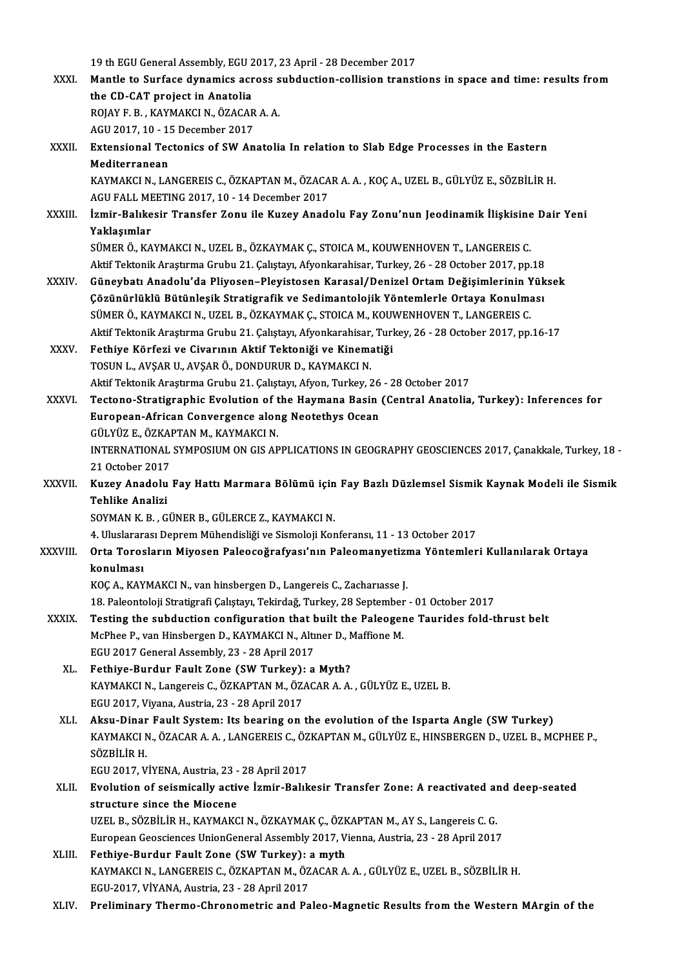19 th EGU General Assembly, EGU 2017, 23 April - 28 December 2017<br>Mantle to Surface dunamics across subduction collision transt 19 th EGU General Assembly, EGU 2017, 23 April - 28 December 2017<br>XXXI. Mantle to Surface dynamics across subduction-collision transtions in space and time: results from 19 th EGU General Assembly, EGU 2<br>Mantle to Surface dynamics acre<br>the CD-CAT project in Anatolia<br>POJAY E.P., KAYMAKCI N. ÖZACAE Mantle to Surface dynamics across s<br>the CD-CAT project in Anatolia<br>ROJAY F. B. , KAYMAKCI N., ÖZACAR A. A.<br>ACU 2017 10 - 15 Desember 2017 the CD-CAT project in Anatolia<br>ROJAY F. B. , KAYMAKCI N., ÖZACAR A. A.<br>AGU 2017, 10 - 15 December 2017 ROJAY F. B. , KAYMAKCI N., ÖZACAR A. A.<br>AGU 2017, 10 - 15 December 2017<br>XXXII. Extensional Tectonics of SW Anatolia In relation to Slab Edge Processes in the Eastern<br>Mediterranean AGU 2017, 10 - 1!<br><mark>Extensional Tec</mark><br>Mediterranean<br>KAVMAKCI N. LA Extensional Tectonics of SW Anatolia In relation to Slab Edge Processes in the Eastern<br>Mediterranean<br>KAYMAKCI N., LANGEREIS C., ÖZKAPTAN M., ÖZACAR A. A. , KOÇ A., UZEL B., GÜLYÜZ E., SÖZBİLİR H.<br>ACU EALL MEETINC 2017-10-1 Mediterranean<br>KAYMAKCI N., LANGEREIS C., ÖZKAPTAN M., ÖZACAR A. A. , KOÇ A., UZEL B., GÜLYÜZ E., SÖZBİLİR H.<br>AGU FALL MEETING 2017, 10 - 14 December 2017 XAYMAKCI N., LANGEREIS C., ÖZKAPTAN M., ÖZACAR A. A. , KOÇ A., UZEL B., GÜLYÜZ E., SÖZBİLİR H.<br>AGU FALL MEETING 2017, 10 - 14 December 2017<br>XXXIII. İzmir-Balıkesir Transfer Zonu ile Kuzey Anadolu Fay Zonu'nun Jeodinamik İl

# AGU FALL ME<br>İzmir-Balıke<br>Yaklaşımlar<br>sümep ö. KA İzmir-Balıkesir Transfer Zonu ile Kuzey Anadolu Fay Zonu'nun Jeodinamik İlişkisine<br>Yaklaşımlar<br>SÜMER Ö., KAYMAKCI N., UZEL B., ÖZKAYMAK Ç., STOICA M., KOUWENHOVEN T., LANGEREIS C.<br>Aktif Tektonik Arastırma Crubu 21. Cekstay

```
Yaklaşımlar<br>SÜMER Ö., KAYMAKCI N., UZEL B., ÖZKAYMAK Ç., STOICA M., KOUWENHOVEN T., LANGEREIS C.<br>Aktif Tektonik Araştırma Grubu 21. Çalıştayı, Afyonkarahisar, Turkey, 26 - 28 October 2017, pp.18
SÜMER Ö., KAYMAKCI N., UZEL B., ÖZKAYMAK Ç., STOICA M., KOUWENHOVEN T., LANGEREIS C.<br>Aktif Tektonik Araştırma Grubu 21. Çalıştayı, Afyonkarahisar, Turkey, 26 - 28 October 2017, pp.18<br>XXXIV. Güneybatı Anadolu'da Pliyosen–Pl
```
- Aktif Tektonik Araştırma Grubu 21. Çalıştayı, Afyonkarahisar, Turkey, 26 28 October 2017, pp.18<br>Güneybatı Anadolu'da Pliyosen–Pleyistosen Karasal/Denizel Ortam Değişimlerinin Yük<br>Çözünürlüklü Bütünleşik Stratigrafik ve S Güneybatı Anadolu'da Pliyosen–Pleyistosen Karasal/Denizel Ortam Değişimlerinin Y<br>Çözünürlüklü Bütünleşik Stratigrafik ve Sedimantolojik Yöntemlerle Ortaya Konulma<br>SÜMER Ö., KAYMAKCI N., UZEL B., ÖZKAYMAK Ç., STOICA M., KOU Çözünürlüklü Bütünleşik Stratigrafik ve Sedimantolojik Yöntemlerle Ortaya Konulması<br>SÜMER Ö., KAYMAKCI N., UZEL B., ÖZKAYMAK Ç., STOICA M., KOUWENHOVEN T., LANGEREIS C.<br>Aktif Tektonik Araştırma Grubu 21. Çalıştayı, Afyonka SÜMER Ö., KAYMAKCI N., UZEL B., ÖZKAYMAK Ç., STOICA M., KOUWENHOVEN T., LANGEREIS C.<br>Aktif Tektonik Araştırma Grubu 21. Çalıştayı, Afyonkarahisar, Turkey, 26 - 28 October 2017, pp.<br>XXXV. Fethiye Körfezi ve Civarının Aktif Aktif Tektonik Araştırma Grubu 21. Çalıştayı, Afyonkarahisar, Turkey, 26 - 28 October 2017, pp.16-17
- Fethiye Körfezi ve Civarının Aktif Tektoniği ve Kinematiği<br>TOSUN L., AVŞAR U., AVŞAR Ö., DONDURUR D., KAYMAKCI N.<br>Aktif Tektonik Araştırma Grubu 21. Çalıştayı, Afyon, Turkey, 26 28 October 2017<br>Testone Stratisraphia Evol
- TOSUN L., AVŞAR U., AVŞAR Ö., DONDURUR D., KAYMAKCI N.<br>Aktif Tektonik Araştırma Grubu 21. Çalıştayı, Afyon, Turkey, 26 28 October 2017<br>XXXVI. Tectono-Stratigraphic Evolution of the Haymana Basin (Central Anatolia, Tu Aktif Tektonik Araştırma Grubu 21. Çalıştayı, Afyon, Turkey, 26<br>Tectono-Stratigraphic Evolution of the Haymana Basin<br>European-African Convergence along Neotethys Ocean<br>Cürvüz E. ÖZKAPTAN M. KAYMAKCLN Tectono-Stratigraphic Evolution of t<br>European-African Convergence alon<br>GÜLYÜZ E., ÖZKAPTAN M., KAYMAKCI N.<br>INTERNATIONAL SYMPOSUIM ON CIS AR European-African Convergence along Neotethys Ocean<br>GÜLYÜZ E., ÖZKAPTAN M., KAYMAKCI N.<br>INTERNATIONAL SYMPOSIUM ON GIS APPLICATIONS IN GEOGRAPHY GEOSCIENCES 2017, Çanakkale, Turkey, 18 -<br>21 October 2017
- GÜLYÜZ E., ÖZKAI<br>INTERNATIONAL<br>21 October 2017<br>Kurev Anadelu INTERNATIONAL SYMPOSIUM ON GIS APPLICATIONS IN GEOGRAPHY GEOSCIENCES 2017, Çanakkale, Turkey, 18 -<br>21 October 2017<br>XXXVII. Kuzey Anadolu Fay Hattı Marmara Bölümü için Fay Bazlı Düzlemsel Sismik Kaynak Modeli ile Sismik
- 21 October 2017<br>Kuzey Anadolu<br>Tehlike Analizi<br>SOVMAN V B G Kuzey Anadolu Fay Hattı Marmara Bölümü için<br>Tehlike Analizi<br>SOYMAN K. B. , GÜNER B., GÜLERCE Z., KAYMAKCI N.<br>4. Uluslarares: Dannam Mühandisliği ve Sismolaji Kar Tehlike Analizi<br>SOYMAN K. B. , GÜNER B., GÜLERCE Z., KAYMAKCI N.<br>4. Uluslararası Deprem Mühendisliği ve Sismoloji Konferansı, 11 - 13 October 2017<br>Orta Terosların Miyasan Palaeseğrefyası'nın Palaemanyatirme Vöntemler

## SOYMAN K. B. , GÜNER B., GÜLERCE Z., KAYMAKCI N.<br>4. Uluslararası Deprem Mühendisliği ve Sismoloji Konferansı, 11 - 13 October 2017<br>XXXVIII. Orta Torosların Miyosen Paleocoğrafyası'nın Paleomanyetizma Yöntemleri Kullanı 4. Uluslarar<br>Orta Toros<br>konulması<br>KOC A. KAY Orta Torosların Miyosen Paleocoğrafyası'nın Paleomanyetizi<br>konulması<br>KOÇ A., KAYMAKCI N., van hinsbergen D., Langereis C., Zacharıasse J.<br>19. Peleonteleji Stratistrafi Celetau, Tekirdeğ, Turkey, 29 Sentember konulması<br>KOÇ A., KAYMAKCI N., van hinsbergen D., Langereis C., Zacharıasse J.<br>18. Paleontoloji Stratigrafi Çalıştayı, Tekirdağ, Turkey, 28 September - 01 October 2017<br>Testing the subdustion sonfiguration that built the Pe

- KOÇ A., KAYMAKCI N., van hinsbergen D., Langereis C., Zachariasse J.<br>18. Paleontoloji Stratigrafi Çalıştayı, Tekirdağ, Turkey, 28 September 01 October 2017<br>XXXIX. Testing the subduction configuration that built the P 18. Paleontoloji Stratigrafi Çalıştayı, Tekirdağ, Turkey, 28 September<br>Testing the subduction configuration that built the Paleoger<br>McPhee P., van Hinsbergen D., KAYMAKCI N., Altıner D., Maffione M.<br>ECU 2017 Cenevel Assemb McPhee P., van Hinsbergen D., KAYMAKCI N., Altiner D., Maffione M.<br>EGU 2017 General Assembly, 23 - 28 April 2017
	- XL. Fethiye-Burdur Fault Zone (SW Turkey): a Myth? EGU 2017 General Assembly, 23 - 28 April 2017<br>Fethiye-Burdur Fault Zone (SW Turkey): a Myth?<br>KAYMAKCI N., Langereis C., ÖZKAPTAN M., ÖZACAR A. A. , GÜLYÜZ E., UZEL B.<br>ECU 2017 Viyana, Austria, 22, ...29 April 2017 Fethiye-Burdur Fault Zone (SW Turkey):<br>KAYMAKCI N., Langereis C., ÖZKAPTAN M., ÖZ.<br>EGU 2017, Viyana, Austria, 23 - 28 April 2017<br>Aksu Dinar Fault System: Its bearing en 1
	- XLI. Aksu-Dinar Fault System: Its bearing on the evolution of the Isparta Angle (SWTurkey) EGU 2017, Viyana, Austria, 23 - 28 April 2017<br>Aksu-Dinar Fault System: Its bearing on the evolution of the Isparta Angle (SW Turkey)<br>KAYMAKCI N., ÖZACAR A. A. , LANGEREIS C., ÖZKAPTAN M., GÜLYÜZ E., HINSBERGEN D., UZEL B., <mark>Aksu-Dinar</mark><br>KAYMAKCI N<br>SÖZBİLİR H.<br>ECU 2017 V KAYMAKCI N., ÖZACAR A. A. , LANGEREIS C., ÖZ<br>SÖZBİLİR H.<br>EGU 2017, VİYENA, Austria, 23 - 28 April 2017<br>Evolution of Sejamically astiyo İsmir Balık

EGU 2017, VİYENA, Austria, 23 - 28 April 2017

SÖZBİLİR H.<br>EGU 2017, VİYENA, Austria, 23 - 28 April 2017<br>XLII. Evolution of seismically active İzmir-Balıkesir Transfer Zone: A reactivated and deep-seated<br>structure since the Miocene Evolution of seismically active İzmir-Balıkesir Transfer Zone: A reactivated an<br>structure since the Miocene<br>UZEL B., SÖZBİLİR H., KAYMAKCI N., ÖZKAYMAK Ç., ÖZKAPTAN M., AY S., Langereis C. G.<br>European Coossianses UnionCone structure since the Miocene<br>UZEL B., SÖZBİLİR H., KAYMAKCI N., ÖZKAYMAK Ç., ÖZKAPTAN M., AY S., Langereis C. G.<br>European Geosciences UnionGeneral Assembly 2017, Vienna, Austria, 23 - 28 April 2017<br>Eethive Burdur Foult Zone

# UZEL B., SÖZBİLİR H., KAYMAKCI N., ÖZKAYMAK Ç., ÖZK<br>European Geosciences UnionGeneral Assembly 2017, V<br>XLIII. Fethiye-Burdur Fault Zone (SW Turkey): a myth<br>EANMAKCI N. LANGEREIS G. ÖZKARTAN M. ÖZAGAR A European Geosciences UnionGeneral Assembly 2017, Vienna, Austria, 23 - 28 April 2017<br>Fethiye-Burdur Fault Zone (SW Turkey): a myth<br>KAYMAKCI N., LANGEREIS C., ÖZKAPTAN M., ÖZACAR A. A. , GÜLYÜZ E., UZEL B., SÖZBİLİR H.<br>EGU-Fethiye-Burdur Fault Zone (SW Turkey): <mark>:</mark><br>KAYMAKCI N., LANGEREIS C., ÖZKAPTAN M., ÖZ<br>EGU-2017, VİYANA, Austria, 23 - 28 April 2017<br>Preliminery Therme *Chronometris* and Ba

XLIV. Preliminary Thermo-Chronometric and Paleo-Magnetic Results from the Western MArgin of the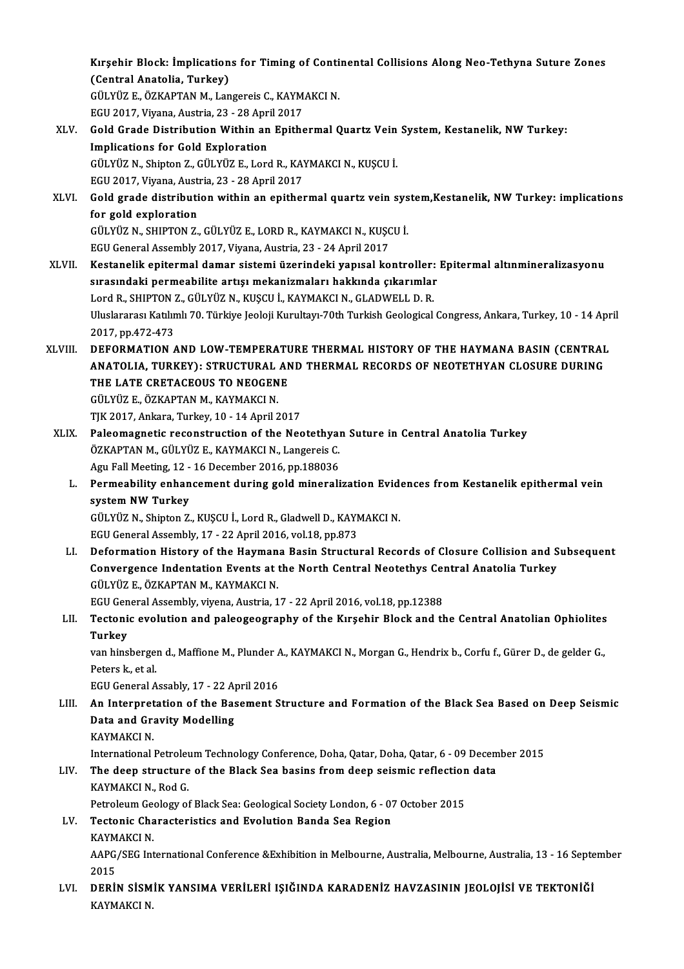Kırşehir Block: İmplications for Timing of Continental Collisions Along Neo-Tethyna Suture Zones<br>(Contrel Anatelia, Turkey) Kırşehir Block: İmplication<br>(Central Anatolia, Turkey)<br>CÜLYÜZE ÖZKAPTAN M. Lan Kırşehir Block: İmplications for Timing of Conti<br>(Central Anatolia, Turkey)<br>GÜLYÜZ E., ÖZKAPTAN M., Langereis C., KAYMAKCI N.<br>ECU 2017 Vivana Austria 22, 22 April 2017 (Central Anatolia, Turkey)<br>GÜLYÜZ E., ÖZKAPTAN M., Langereis C., KAYMAKCI N.

EGU 2017, Viyana, Austria, 23 - 28 April 2017

- XLV. Gold Grade Distribution Within an Epithermal Quartz Vein System, Kestanelik, NW Turkey:<br>Implications for Gold Exploration Gold Grade Distribution Within an Epithermal Quartz Vein<br>Implications for Gold Exploration<br>GÜLYÜZ N., Shipton Z., GÜLYÜZ E., Lord R., KAYMAKCI N., KUŞCU İ.<br>ECU 2017 Viyana Austria 22, 28 April 2017 Implications for Gold Exploration<br>GÜLYÜZ N., Shipton Z., GÜLYÜZ E., Lord R., KAY<br>EGU 2017, Viyana, Austria, 23 - 28 April 2017<br>Cold grade distribution within an enither GÜLYÜZ N., Shipton Z., GÜLYÜZ E., Lord R., KAYMAKCI N., KUŞCU İ.<br>EGU 2017, Viyana, Austria, 23 - 28 April 2017<br>XLVI. Gold grade distribution within an epithermal quartz vein system,Kestanelik, NW Turkey: implications<br>for s
- EGU 2017, Viyana, Australia<br>Gold grade distributi<br>for gold exploration<br>CÜLVÜZ N. SHIPTON Z Gold grade distribution within an epithermal quartz vein sys<br>for gold exploration<br>GÜLYÜZ N., SHIPTON Z., GÜLYÜZ E., LORD R., KAYMAKCI N., KUŞCU İ.<br>ECU Ceneral Assembly 2017, Viyana, Ayetria, 22,, 24 April 2017 for gold exploration<br>GÜLYÜZ N., SHIPTON Z., GÜLYÜZ E., LORD R., KAYMAKCI N., KUŞCU İ.<br>EGU General Assembly 2017, Viyana, Austria, 23 - 24 April 2017

- XLVII. Kestanelik epitermal damar sistemi üzerindeki yapısal kontroller: Epitermal altınmineralizasyonu EGU General Assembly 2017, Viyana, Austria, 23 - 24 April 2017<br>Kestanelik epitermal damar sistemi üzerindeki yapısal kontroller:<br>sırasındaki permeabilite artışı mekanizmaları hakkında çıkarımlar<br>Lard B. SHIPTON 7. CÜLYÜZ N Kestanelik epitermal damar sistemi üzerindeki yapısal kontroller:<br>sırasındaki permeabilite artışı mekanizmaları hakkında çıkarımlar<br>Lord R., SHIPTON Z., GÜLYÜZ N., KUŞCU İ., KAYMAKCI N., GLADWELL D. R.<br>Uluslararesı Katılım Uluslararası Katılımlı 70. Türkiye Jeoloji Kurultayı-70th Turkish Geological Congress, Ankara, Turkey, 10 - 14 April<br>2017, pp.472-473 Lord R., SHIPTON Z., GÜLYÜZ N., KUŞCU İ., KAYMAKCI N., GLADWELL D. R. Uluslararası Katılımlı 70. Türkiye Jeoloji Kurultayı-70th Turkish Geological Congress, Ankara, Turkey, 10 - 14 Apr<br>2017, pp.472-473<br>ANATOLIA TURKEY), STRUCTURAL AND THERMAL HISTORY OF THE HAYMANA BASIN (CENTRAL
- 2017, pp.472-473<br>DEFORMATION AND LOW-TEMPERATURE THERMAL HISTORY OF THE HAYMANA BASIN (CENTRAL<br>ANATOLIA, TURKEY): STRUCTURAL AND THERMAL RECORDS OF NEOTETHYAN CLOSURE DURING<br>THE LATE CRETACEOUS TO NEOCENE DEFORMATION AND LOW-TEMPERAT<mark>I</mark><br>ANATOLIA, TURKEY): STRUCTURAL AN<br>THE LATE CRETACEOUS TO NEOGENE ANATOLIA, TURKEY): STRUCTURAL AND THERMAL RECORDS OF NEOTETHYAN CLOSURE DURING<br>THE LATE CRETACEOUS TO NEOGENE<br>GÜLYÜZ E.. ÖZKAPTAN M.. KAYMAKCI N. TJK2017,Ankara,Turkey,10 -14April2017 GÜLYÜZ E., ÖZKAPTAN M., KAYMAKCI N.<br>TJK 2017, Ankara, Turkey, 10 - 14 April 2017<br>XLIX. Paleomagnetic reconstruction of the Neotethyan Suture in Central Anatolia Turkey<br>ÖZKAPTAN M. CÜLYÜZ E. KAYMAKCI N. LARGERIS C
- TJK 2017, Ankara, Turkey, 10 14 April 2017<br>Paleomagnetic reconstruction of the Neotethyal<br>ÖZKAPTAN M., GÜLYÜZ E., KAYMAKCI N., Langereis C.<br>Agu Fall Meeting 12 16 Desember 2016 nr 199026 Paleomagnetic reconstruction of the Neotethyan<br>ÖZKAPTAN M., GÜLYÜZ E., KAYMAKCI N., Langereis C.<br>Agu Fall Meeting, 12 - 16 December 2016, pp.188036<br>Permeability onbangement during gold minerali Agu Fall Meeting, 12 - 16 December 2016, pp.188036
	- ÖZKAPTAN M., GÜLYÜZ E., KAYMAKCI N., Langereis C.<br>Agu Fall Meeting, 12 16 December 2016, pp.188036<br>L. Permeability enhancement during gold mineralization Evidences from Kestanelik epithermal vein<br>system NW Turkey Permeability enhancement during gold mineralization Evide<br>system NW Turkey<br>GÜLYÜZ N., Shipton Z., KUŞCU İ., Lord R., Gladwell D., KAYMAKCI N.<br>ECU Ceneral Assembly, 17, 22 April 2016, val 19, pp.972

system NW Turkey<br>GÜLYÜZ N., Shipton Z., KUŞCU İ., Lord R., Gladwell D., KAYN<br>EGU General Assembly, 17 - 22 April 2016, vol.18, pp.873<br>Defermation History of the Houmane Besin Structu

GÜLYÜZ N., Shipton Z., KUŞCU İ., Lord R., Gladwell D., KAYMAKCI N.<br>EGU General Assembly, 17 - 22 April 2016, vol.18, pp.873<br>LI. Deformation History of the Haymana Basin Structural Records of Closure Collision and Subse EGU General Assembly, 17 - 22 April 2016, vol.18, pp.873<br>Deformation History of the Haymana Basin Structural Records of Closure Collision and S<br>Convergence Indentation Events at the North Central Neotethys Central Anatolia Deformation History of the Hayman<br>Convergence Indentation Events at the<br>GÜLYÜZ E., ÖZKAPTAN M., KAYMAKCI N.<br>ECU Conoral Assembly vivone Austrie 1 Convergence Indentation Events at the North Central Neotethys Cen<br>GÜLYÜZ E., ÖZKAPTAN M., KAYMAKCI N.<br>EGU General Assembly, viyena, Austria, 17 - 22 April 2016, vol.18, pp.12388<br>Testonis evolution and peleoseesraphy of the

# GÜLYÜZ E., ÖZKAPTAN M., KAYMAKCI N.<br>EGU General Assembly, viyena, Austria, 17 - 22 April 2016, vol.18, pp.12388<br>LII. Tectonic evolution and paleogeography of the Kırşehir Block and the Central Anatolian Ophiolites<br>Turk EGU Gen<br><mark>Tectoni</mark><br>Turkey<br>var bins Tectonic evolution and paleogeography of the Kırşehir Block and the Central Anatolian Ophiolites<br>Turkey<br>van hinsbergen d., Maffione M., Plunder A., KAYMAKCI N., Morgan G., Hendrix b., Corfu f., Gürer D., de gelder G.,<br>Pete

Turkey<br>van hinsbergen d., Maffione M., Plunder A., KAYMAKCI N., Morgan G., Hendrix b., Corfu f., Gürer D., de gelder G.,<br>Peters k., et al. van hinsbergen d., Maffione M., Plunder A<br>Peters k., et al.<br>EGU General Assably, 17 - 22 April 2016<br>An Internatation of the Basement S

LIII. An Interpretation of the Basement Structure and Formation of the Black Sea Based on Deep Seismic<br>Data and Gravity Modelling EGU General Assably, 17 - 22 A<sub>l</sub><br>An Interpretation of the Bas<br>Data and Gravity Modelling<br>KAYMAKCI N KAYMAKCI N Data and Gravity Modelling<br>KAYMAKCI N.<br>International Petroleum Technology Conference, Doha, Qatar, Doha, Qatar, 6 - 09 December 2015<br>The deep structure of the Blask See besins from deep seismis reflection data.

## KAYMAKCI N.<br>International Petroleum Technology Conference, Doha, Qatar, Doha, Qatar, 6 - 09 Decem<br>LIV. The deep structure of the Black Sea basins from deep seismic reflection data<br>KAYMAKCLN, Bed C International Petrolet<br>The deep structure<br>KAYMAKCI N., Rod G.<br>Petroleum Ceelery of LIV. The deep structure of the Black Sea basins from deep seismic reflection data<br>KAYMAKCI N., Rod G.

Petroleum Geology of Black Sea: Geological Society London, 6 - 07 October 2015

## LV. Tectonic Characteristics and Evolution Banda Sea Region

Tectonic Characteristics and Evolution Banda Sea Region<br>KAYMAKCI N.<br>AAPG/SEG International Conference &Exhibition in Melbourne, Australia, Melbourne, Australia, 13 - 16 September KAYM<br>AAPG,<br>2015<br>DEBU AAPG/SEG International Conference &Exhibition in Melbourne, Australia, Melbourne, Australia, 13 - 16 Septe<br>2015<br>LVI. DERİN SİSMİK YANSIMA VERİLERİ IŞIĞINDA KARADENİZ HAVZASININ JEOLOJİSİ VE TEKTONİĞİ

2015<br><mark>DERİN SİSM</mark><br>KAYMAKCI N.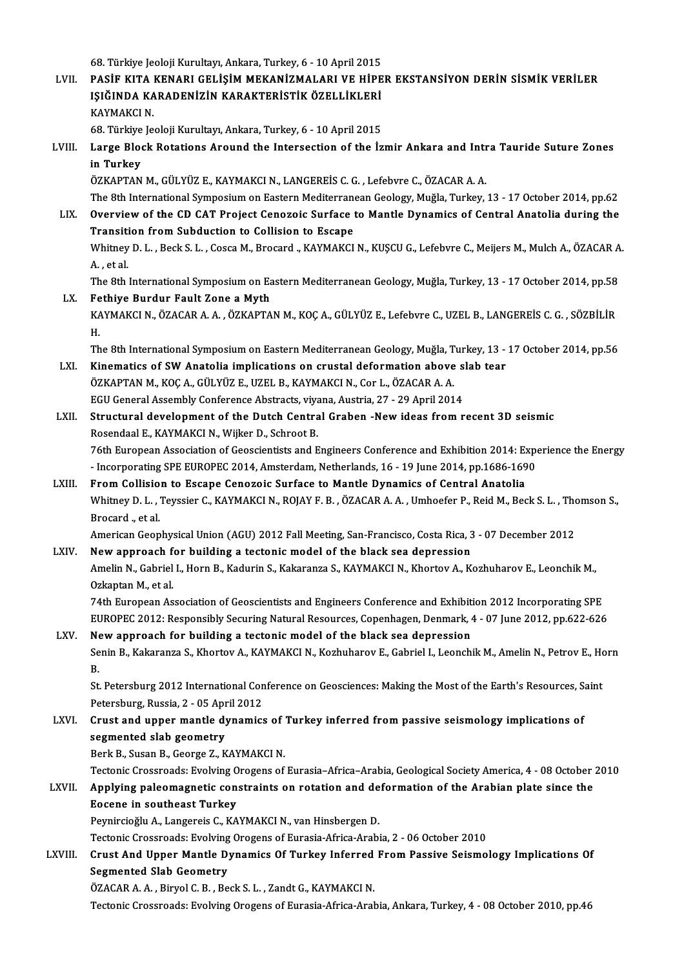68. Türkiye Jeoloji Kurultayı, Ankara, Turkey, 6 - 10 April 2015<br>PASİE KITA KENAPI CELİSİM MEKANİZMALAPLIK HİDE

68. Türkiye Jeoloji Kurultayı, Ankara, Turkey, 6 - 10 April 2015<br>LVII. PASİF KITA KENARI GELİŞİM MEKANİZMALARI VE HİPER EKSTANSİYON DERİN SİSMİK VERİLER<br>ISIĞINDA KARADENİZİN KARAKTERİSTIK ÖZELLİKI ERİ 68. Türkiye Jeoloji Kurultayı, Ankara, Turkey, 6 - 10 April 2015<br>PASİF KITA KENARI GELİŞİM MEKANİZMALARI VE HİPE<br>IŞIĞINDA KARADENİZİN KARAKTERİSTİK ÖZELLİKLERİ<br>KAYMAKÇI N PASİF KITA<br>IŞIĞINDA KA<br>KAYMAKCI N. 1ŞIĞINDA KARADENİZİN KARAKTERİSTİK ÖZELLİKLERİ<br>KAYMAKCI N.

68. Türkiye Jeoloji Kurultayı, Ankara, Turkey, 6 - 10 April 2015

LVIII. Large Block Rotations Around the Intersection of the İzmir Ankara and Intra Tauride Suture Zones<br>in Turkey

ÖZKAPTANM.,GÜLYÜZ E.,KAYMAKCIN.,LANGEREİSC.G. ,LefebvreC.,ÖZACARA.A.

The 8th International Symposium on Eastern Mediterranean Geology, Muğla, Turkey, 13 - 17 October 2014, pp.62

ÖZKAPTAN M., GÜLYÜZ E., KAYMAKCI N., LANGEREİS C. G. , Lefebvre C., ÖZACAR A. A.<br>The 8th International Symposium on Eastern Mediterranean Geology, Muğla, Turkey, 13 - 17 October 2014, pp.62<br>LIX. Overview of the CD CAT Proj The 8th International Symposium on Eastern Mediterrane<br>Overview of the CD CAT Project Cenozoic Surface to<br>Transition from Subduction to Collision to Escape<br>Whitney D.J., Bock S.J., Cosca M. Brocard, KAYMAKCI Overview of the CD CAT Project Cenozoic Surface to Mantle Dynamics of Central Anatolia during the<br>Transition from Subduction to Collision to Escape<br>Whitney D. L. , Beck S. L. , Cosca M., Brocard ., KAYMAKCI N., KUŞCU G., L

Transition from Subduction to Collision to Escape<br>Whitney D. L. , Beck S. L. , Cosca M., Brocard ., KAYMAKCI N., KUŞCU G., Lefebvre C., Meijers M., Mulch A., ÖZACAR A.<br>A. , et al. Whitney D. L. , Beck S. L. , Cosca M., Brocard ., KAYMAKCI N., KUŞCU G., Lefebvre C., Meijers M., Mulch A., ÖZACAR A<br>A. , et al.<br>The 8th International Symposium on Eastern Mediterranean Geology, Muğla, Turkey, 13 - 17 Octo

The 8th International Symposium on Eastern Mediterranean Geology, Muğla, Turkey, 13 - 17 October 2014, pp.58<br>Fethiye Burdur Fault Zone a Myth<br>KAYMAKCI N., ÖZACAR A. A. , ÖZKAPTAN M., KOÇ A., GÜLYÜZ E., Lefebvre C., UZEL B.

LX. Fethiye Burdur Fault Zone a Myth<br>KAYMAKCI N., ÖZACAR A. A. , ÖZKAPTAN M., KOÇ A., GÜLYÜZ E., Lefebvre C., UZEL B., LANGEREİS C. G. , SÖZBİLİR Fe<br>KA<br>H. KAYMAKCI N., ÖZACAR A. A. , ÖZKAPTAN M., KOÇ A., GÜLYÜZ E., Lefebvre C., UZEL B., LANGEREİS C. G. , SÖZBİLİR<br>H.<br>The 8th International Symposium on Eastern Mediterranean Geology, Muğla, Turkey, 13 - 17 October 2014, pp.56<br>K

H.<br>The 8th International Symposium on Eastern Mediterranean Geology, Muğla, Turkey, 13 -<br>LXI. Kinematics of SW Anatolia implications on crustal deformation above slab tear<br>ÖZKAPTAN M. KOC A. CÜLVÜZ E. UZEL B. KAYMAKCLN, CO The 8th International Symposium on Eastern Mediterranean Geology, Muğla, T<br>Kinematics of SW Anatolia implications on crustal deformation above<br>ÖZKAPTAN M., KOÇ A., GÜLYÜZ E., UZEL B., KAYMAKCI N., Cor L., ÖZACAR A. A.<br>ECU Kinematics of SW Anatolia implications on crustal deformation above slab tear<br>ÖZKAPTAN M., KOÇ A., GÜLYÜZ E., UZEL B., KAYMAKCI N., Cor L., ÖZACAR A. A. EGU General Assembly Conference Abstracts, viyana, Austria, 27 - 29 April 2014

## LXII. Structural development of the Dutch Central Graben -New ideas from recent 3D seismic<br>Rosendaal E., KAYMAKCI N., Wijker D., Schroot B. Structural development of the Dutch Central Graben -New ideas from recent 3D seismic<br>Rosendaal E., KAYMAKCI N., Wijker D., Schroot B.<br>76th European Association of Geoscientists and Engineers Conference and Exhibition 2014:

Rosendaal E., KAYMAKCI N., Wijker D., Schroot B.<br>76th European Association of Geoscientists and Engineers Conference and Exhibition 2014: Experient SPE EUROPEC<br>2014, pp.1686-1690<br>From Collision to Essano Conogois Surface t

Incorporating SPE EUROPEC 2014, Amsterdam, Netherlands, 16 - 19 June 2014, pp.1686-1690<br>LXIII. From Collision to Escape Cenozoic Surface to Mantle Dynamics of Central Anatolia Whitney D. L. , Teyssier C., KAYMAKCI N., ROJAY F. B. , ÖZACAR A. A. , Umhoefer P., Reid M., Beck S. L. , Thomson S.,<br>Brocard ., et al. From Collision to Escape Cenozoic Surface to Mantle Dynamics of Central Anatolia Whitney D. L. , Teyssier C., KAYMAKCI N., ROJAY F. B. , ÖZACAR A. A. , Umhoefer P., Reid M., Beck S. L. , Tho<br>Brocard ., et al.<br>American Geophysical Union (AGU) 2012 Fall Meeting, San-Francisco, Costa Rica, 3 - 07 December Brocard "et al.<br>American Geophysical Union (AGU) 2012 Fall Meeting, San-Francisco, Costa Rica, 3<br>LXIV. New approach for building a tectonic model of the black sea depression<br>Amelin N. Cobriel L. Horn B. Kodurin S. Kekerang

American Geophysical Union (AGU) 2012 Fall Meeting, San-Francisco, Costa Rica, 3 - 07 December 2012<br>New approach for building a tectonic model of the black sea depression<br>Amelin N., Gabriel I., Horn B., Kadurin S., Kakaran New approach for building a tectonic model of the black sea depression<br>Amelin N., Gabriel I., Horn B., Kadurin S., Kakaranza S., KAYMAKCI N., Khortov A., Kozhuharov E., Leonchik M.,<br>Ozkaptan M., et al.

74th European Association of Geoscientists and Engineers Conference and Exhibition 2012 Incorporating SPE Ozkaptan M., et al.<br>74th European Association of Geoscientists and Engineers Conference and Exhibition 2012 Incorporating SPE<br>EUROPEC 2012: Responsibly Securing Natural Resources, Copenhagen, Denmark, 4 - 07 June 2012, pp. 74th European Association of Geoscientists and Engineers Conference and Exhibiti<br>EUROPEC 2012: Responsibly Securing Natural Resources, Copenhagen, Denmark, 4<br>LXV. New approach for building a tectonic model of the black sea

## New approach for building a tectonic model of the black sea depression<br>Senin B., Kakaranza S., Khortov A., KAYMAKCI N., Kozhuharov E., Gabriel I., Leonchik M., Amelin N., Petrov E., Horn<br>R. Ne<br>Se<br>B. Senin B., Kakaranza S., Khortov A., KAYMAKCI N., Kozhuharov E., Gabriel I., Leonchik M., Amelin N., Petrov E., Ho<br>B.<br>St. Petersburg 2012 International Conference on Geosciences: Making the Most of the Earth's Resources, Sa

B.<br>St. Petersburg 2012 International Con<br>Petersburg, Russia, 2 - 05 April 2012<br>Crust and unner mantle dunamics St. Petersburg 2012 International Conference on Geosciences: Making the Most of the Earth's Resources, S.<br>Petersburg, Russia, 2 - 05 April 2012<br>LXVI. Crust and upper mantle dynamics of Turkey inferred from passive seismolo

# Petersburg, Russia, 2 - 05 April 2012<br>Crust and upper mantle dynamics of Turkey inferred from passive seismology implications of<br>segmented slab geometry

Berk B., Susan B., George Z., KAYMAKCI N.

Tectonic Crossroads: Evolving Orogens of Eurasia–Africa–Arabia, Geological Society America, 4 - 08 October 2010

### Berk B., Susan B., George Z., KAYMAKCI N.<br>Tectonic Crossroads: Evolving Orogens of Eurasia–Africa–Arabia, Geological Society America, 4 - 08 October<br>LXVII. Applying paleomagnetic constraints on rotation and deformation of Tectonic Crossroads: Evolving O<br>Applying paleomagnetic con<br>Eocene in southeast Turkey<br>Permirgicălu A Jangereis C. KA Applying paleomagnetic constraints on rotation and de<br>Eocene in southeast Turkey<br>Peynircioğlu A., Langereis C., KAYMAKCI N., van Hinsbergen D.<br>Testonis Crossroode: Evolving Orogans of Eurosia Africe Arabi Eocene in southeast Turkey<br>Peynircioğlu A., Langereis C., KAYMAKCI N., van Hinsbergen D.<br>Tectonic Crossroads: Evolving Orogens of Eurasia-Africa-Arabia, 2 - 06 October 2010

# Peynircioğlu A., Langereis C., KAYMAKCI N., van Hinsbergen D.<br>Tectonic Crossroads: Evolving Orogens of Eurasia-Africa-Arabia, 2 - 06 October 2010<br>LXVIII. Crust And Upper Mantle Dynamics Of Turkey Inferred From Passive Seis Tectonic Crossroads: Evolving<br>Crust And Upper Mantle D<br>Segmented Slab Geometry<br>ÖZACAR A A Birvel C B Be Crust And Upper Mantle Dynamics Of Turkey Inferred<br>Segmented Slab Geometry<br>ÖZACAR A.A., Biryol C.B., Beck S.L., Zandt G., KAYMAKCI N.<br>Testonis Crossreade: Evoluing Orogons of Eurosia Africa Arab

Segmented Slab Geometry<br>ÖZACAR A. A. , Biryol C. B. , Beck S. L. , Zandt G., KAYMAKCI N.<br>Tectonic Crossroads: Evolving Orogens of Eurasia-Africa-Arabia, Ankara, Turkey, 4 - 08 October 2010, pp.46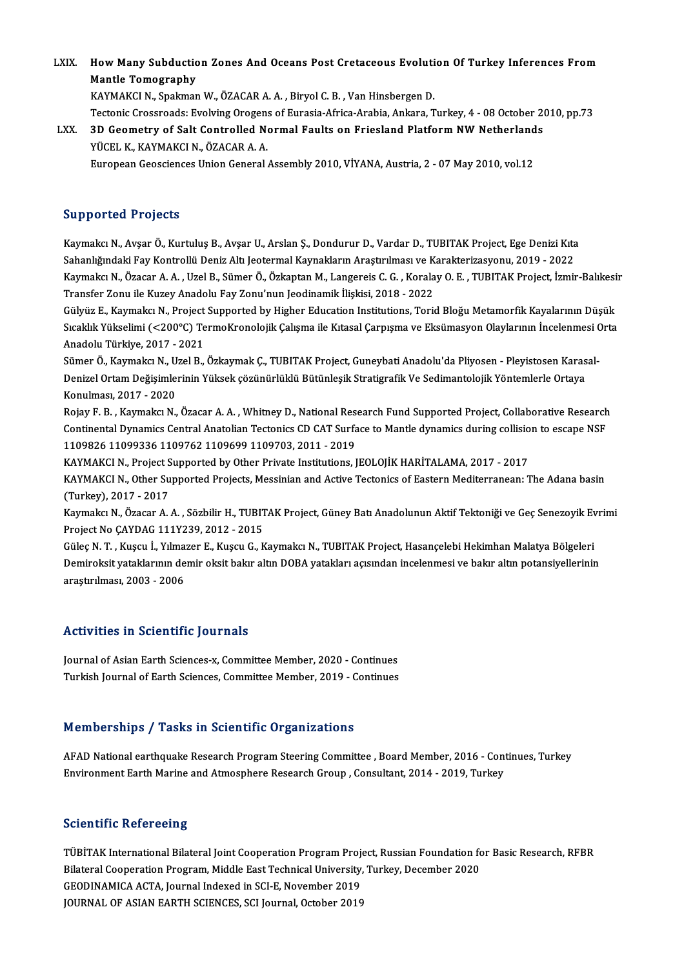LXIX. How Many Subduction Zones And Oceans Post Cretaceous Evolution Of Turkey Inferences From<br>Mantle Temesranhy How Many Subduction<br>Mantle Tomography<br>KAVMAKCLN, Spelmar How Many Subduction Zones And Oceans Post Cretaceous Evoluti<br>Mantle Tomography<br>KAYMAKCI N., Spakman W., ÖZACAR A. A. , Biryol C. B. , Van Hinsbergen D.<br>Testonis Cressreeds: Evoluing Oregens of Euresia Africe Arabia Ankare

Mantle Tomography<br>KAYMAKCI N., Spakman W., ÖZACAR A. A. , Biryol C. B. , Van Hinsbergen D.<br>Tectonic Crossroads: Evolving Orogens of Eurasia-Africa-Arabia, Ankara, Turkey, 4 - 08 October 2010, pp.73<br>2D Ceametry of Salt Cant KAYMAKCI N., Spakman W., ÖZACAR A. A. , Biryol C. B. , Van Hinsbergen D.<br>Tectonic Crossroads: Evolving Orogens of Eurasia-Africa-Arabia, Ankara, Turkey, 4 - 08 October 20<br>LXX. 3D Geometry of Salt Controlled Normal Faults o

Tectonic Crossroads: Evolving Orogens<br>3D Geometry of Salt Controlled No<br>YÜCEL K., KAYMAKCI N., ÖZACAR A. A.<br>European Coossianses Union Coneral 3D Geometry of Salt Controlled Normal Faults on Friesland Platform NW Netherland<br>YÜCEL K., KAYMAKCI N., ÖZACAR A. A.<br>European Geosciences Union General Assembly 2010, VİYANA, Austria, 2 - 07 May 2010, vol.12 European Geosciences Union General Assembly 2010, VİYANA, Austria, 2 - 07 May 2010, vol.12<br>Supported Projects

**Supported Projects**<br>Kaymakcı N., Avşar Ö., Kurtuluş B., Avşar U., Arslan Ş., Dondurur D., Vardar D., TUBITAK Project, Ege Denizi Kıta<br>Sahanlığındaki Fav Kantrollü Deniz Altı Jestermal Kaymakların Anastrulması ve Karaktari Sapportea Frojeces<br>Kaymakcı N., Avşar Ö., Kurtuluş B., Avşar U., Arslan Ş., Dondurur D., Vardar D., TUBITAK Project, Ege Denizi Kıta<br>Sahanlığındaki Fay Kontrollü Deniz Altı Jeotermal Kaynakların Araştırılması ve Karakteriz Kaymakcı N., Avşar Ö., Kurtuluş B., Avşar U., Arslan Ş., Dondurur D., Vardar D., TUBITAK Project, Ege Denizi Kıta<br>Sahanlığındaki Fay Kontrollü Deniz Altı Jeotermal Kaynakların Araştırılması ve Karakterizasyonu, 2019 - 2022 Sahanlığındaki Fay Kontrollü Deniz Altı Jeotermal Kaynakların Araştırılması ve K<br>Kaymakcı N., Özacar A. A. , Uzel B., Sümer Ö., Özkaptan M., Langereis C. G. , Korala<br>Transfer Zonu ile Kuzey Anadolu Fay Zonu'nun Jeodinamik Kaymakcı N., Özacar A. A. , Uzel B., Sümer Ö., Özkaptan M., Langereis C. G. , Koralay O. E. , TUBITAK Project, İzmir-Balıkesi<br>Transfer Zonu ile Kuzey Anadolu Fay Zonu'nun Jeodinamik İlişkisi, 2018 - 2022<br>Gülyüz E., Kaymakc

Transfer Zonu ile Kuzey Anadolu Fay Zonu'nun Jeodinamik İlişkisi, 2018 - 2022<br>Gülyüz E., Kaymakcı N., Project Supported by Higher Education Institutions, Torid Bloğu Metamorfik Kayalarının Düşük<br>Sıcaklık Yükselimi (<200°C) Gülyüz E., Kaymakcı N., Project<br>Sıcaklık Yükselimi (<200°C) Te<br>Anadolu Türkiye, 2017 - 2021<br>Sümor Ö. Kaymaka N. Hrol B. Sıcaklık Yükselimi (<200°C) TermoKronolojik Çalışma ile Kıtasal Çarpışma ve Eksümasyon Olaylarının İncelenmesi<br>Anadolu Türkiye, 2017 - 2021<br>Sümer Ö., Kaymakcı N., Uzel B., Özkaymak Ç., TUBITAK Project, Guneybati Anadolu'da

Anadolu Türkiye, 2017 - 2021<br>Sümer Ö., Kaymakcı N., Uzel B., Özkaymak Ç., TUBITAK Project, Guneybati Anadolu'da Pliyosen - Pleyistosen Karas<br>Denizel Ortam Değişimlerinin Yüksek çözünürlüklü Bütünleşik Stratigrafik Ve Sedim Sümer Ö., Kaymakcı N., U<br>Denizel Ortam Değişimle<br>Konulması, 2017 - 2020<br>Poiau E. B. Kaymakçı N Denizel Ortam Değişimlerinin Yüksek çözünürlüklü Bütünleşik Stratigrafik Ve Sedimantolojik Yöntemlerle Ortaya<br>Konulması, 2017 - 2020<br>Rojay F. B. , Kaymakcı N., Özacar A. A. , Whitney D., National Research Fund Supported Pr

Konulması, 2017 - 2020<br>Rojay F. B. , Kaymakcı N., Özacar A. A. , Whitney D., National Research Fund Supported Project, Collaborative Research<br>Continental Dynamics Central Anatolian Tectonics CD CAT Surface to Mantle dynami Rojay F. B. , Kaymakcı N., Özacar A. A. , Whitney D., National Res<br>Continental Dynamics Central Anatolian Tectonics CD CAT Surfa<br>1109826 11099336 1109762 1109699 1109703, 2011 - 2019<br>KAYMAKCI N. Preject Supported by Other Continental Dynamics Central Anatolian Tectonics CD CAT Surface to Mantle dynamics during collisio<br>1109826 11099336 1109762 1109699 1109703, 2011 - 2019<br>KAYMAKCI N., Project Supported by Other Private Institutions, JEOLOJİ

1109826 11099336 1109762 1109699 1109703, 2011 - 2019<br>KAYMAKCI N., Project Supported by Other Private Institutions, JEOLOJİK HARİTALAMA, 2017 - 2017<br>KAYMAKCI N., Other Supported Projects, Messinian and Active Tectonics of KAYMAKCI N., Project S<br>KAYMAKCI N., Other Su<br>(Turkey), 2017 - 2017<br>Kaymaka N., Özasar A KAYMAKCI N., Other Supported Projects, Messinian and Active Tectonics of Eastern Mediterranean: The Adana basin<br>(Turkey), 2017 - 2017<br>Kaymakcı N., Özacar A. A. , Sözbilir H., TUBITAK Project, Güney Batı Anadolunun Aktif Te

(Turkey), 2017 - 2017<br>Kaymakcı N., Özacar A. A. , Sözbilir H., TUBITAK Project, Güney Batı Anadolunun Aktif Tektoniği ve Geç Senezoyik Evrimi<br>Project No ÇAYDAG 111Y239, 2012 - 2015 Kaymakcı N., Özacar A. A. , Sözbilir H., TUBITAK Project, Güney Batı Anadolunun Aktif Tektoniği ve Geç Senezoyik Ev<br>Project No ÇAYDAG 111Y239, 2012 - 2015<br>Güleç N. T. , Kuşcu İ., Yılmazer E., Kuşcu G., Kaymakcı N., TUBITAK

Project No ÇAYDAG 111Y239, 2012 - 2015<br>Güleç N. T. , Kuşcu İ., Yılmazer E., Kuşcu G., Kaymakcı N., TUBITAK Project, Hasançelebi Hekimhan Malatya Bölgeleri<br>Demiroksit yataklarının demir oksit bakır altın DOBA yatakları açıs Güleç N. T. , Kuşcu İ., Yılma:<br>Demiroksit yataklarının de<br>araştırılması, 2003 - 2006

# araștırılması, 2003 - 2006<br>Activities in Scientific Journals

Activities in Scientific Journals<br>Journal of Asian Earth Sciences-x, Committee Member, 2020 - Continues<br>Turkish Journal of Earth Sciences, Committee Member, 2019 - Continues Turkish Journalof India<br>Journal of Asian Earth Sciences-x, Committee Member, 2020 - Continues<br>Turkish Journal of Earth Sciences, Committee Member, 2019 - Continues Turkish Journal of Earth Sciences, Committee Member, 2019 - Continues<br>Memberships / Tasks in Scientific Organizations

AFAD National earthquake Research Program Steering Committee , Board Member, 2016 - Continues, Turkey Environment Earth Marine and Atmosphere Research Group, Consultant, 2014 - 2019, Turkey

#### **Scientific Refereeing**

Scie**ntific Refereeing**<br>TÜBİTAK International Bilateral Joint Cooperation Program Project, Russian Foundation for Basic Research, RFBR<br>Bilateral Cooperation Program, Middle Fast Technical University, Turkey, Desember 2020. Bilateral Cooperation<br>TÜBİTAK International Bilateral Joint Cooperation Program Project, Russian Foundation fo<br>Bilateral Cooperation Program, Middle East Technical University, Turkey, December 2020<br>CEODINAMICA ACTA Journal TÜBİTAK International Bilateral Joint Cooperation Program Proj<br>Bilateral Cooperation Program, Middle East Technical University,<br>GEODINAMICA ACTA, Journal Indexed in SCI-E, November 2019<br>JOURNAL OF ASIAN FARTH SCIENCES, SCI Bilateral Cooperation Program, Middle East Technical University,<br>GEODINAMICA ACTA, Journal Indexed in SCI-E, November 2019<br>JOURNAL OF ASIAN EARTH SCIENCES, SCI Journal, October 2019